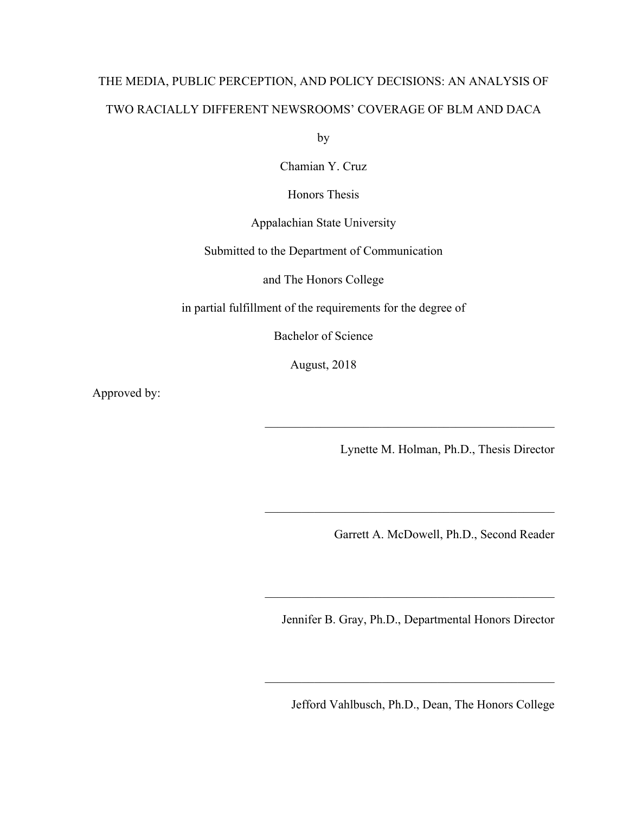# THE MEDIA, PUBLIC PERCEPTION, AND POLICY DECISIONS: AN ANALYSIS OF TWO RACIALLY DIFFERENT NEWSROOMS' COVERAGE OF BLM AND DACA

by

Chamian Y. Cruz

Honors Thesis

Appalachian State University

Submitted to the Department of Communication

and The Honors College

in partial fulfillment of the requirements for the degree of

Bachelor of Science

August, 2018

Approved by:

Lynette M. Holman, Ph.D., Thesis Director

 $\mathcal{L}_\text{max}$  and the contract of the contract of the contract of the contract of the contract of the contract of the contract of the contract of the contract of the contract of the contract of the contract of the contrac

 $\mathcal{L}_\text{max}$  , and the contract of the contract of the contract of the contract of the contract of the contract of the contract of the contract of the contract of the contract of the contract of the contract of the contr

Garrett A. McDowell, Ph.D., Second Reader

Jennifer B. Gray, Ph.D., Departmental Honors Director

 $\mathcal{L}_\text{max}$  , and the contract of the contract of the contract of the contract of the contract of the contract of the contract of the contract of the contract of the contract of the contract of the contract of the contr

 $\mathcal{L}_\text{max}$  , and the contract of the contract of the contract of the contract of the contract of the contract of the contract of the contract of the contract of the contract of the contract of the contract of the contr

Jefford Vahlbusch, Ph.D., Dean, The Honors College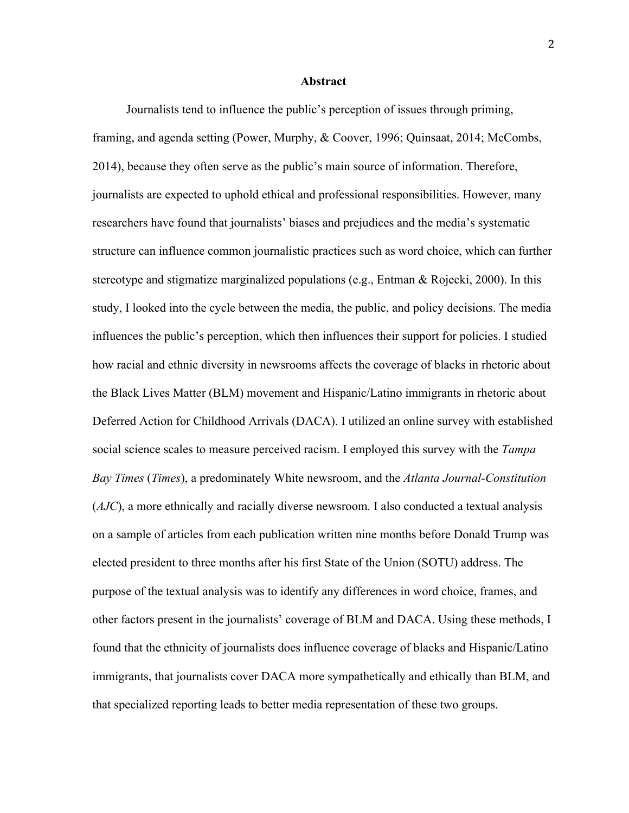#### **Abstract**

Journalists tend to influence the public's perception of issues through priming, framing, and agenda setting (Power, Murphy, & Coover, 1996; Quinsaat, 2014; McCombs, 2014), because they often serve as the public's main source of information. Therefore, journalists are expected to uphold ethical and professional responsibilities. However, many researchers have found that journalists' biases and prejudices and the media's systematic structure can influence common journalistic practices such as word choice, which can further stereotype and stigmatize marginalized populations (e.g., Entman  $\&$  Rojecki, 2000). In this study, I looked into the cycle between the media, the public, and policy decisions. The media influences the public's perception, which then influences their support for policies. I studied how racial and ethnic diversity in newsrooms affects the coverage of blacks in rhetoric about the Black Lives Matter (BLM) movement and Hispanic/Latino immigrants in rhetoric about Deferred Action for Childhood Arrivals (DACA). I utilized an online survey with established social science scales to measure perceived racism. I employed this survey with the *Tampa Bay Times* (*Times*), a predominately White newsroom, and the *Atlanta Journal-Constitution* (*AJC*), a more ethnically and racially diverse newsroom*.* I also conducted a textual analysis on a sample of articles from each publication written nine months before Donald Trump was elected president to three months after his first State of the Union (SOTU) address. The purpose of the textual analysis was to identify any differences in word choice, frames, and other factors present in the journalists' coverage of BLM and DACA. Using these methods, I found that the ethnicity of journalists does influence coverage of blacks and Hispanic/Latino immigrants, that journalists cover DACA more sympathetically and ethically than BLM, and that specialized reporting leads to better media representation of these two groups.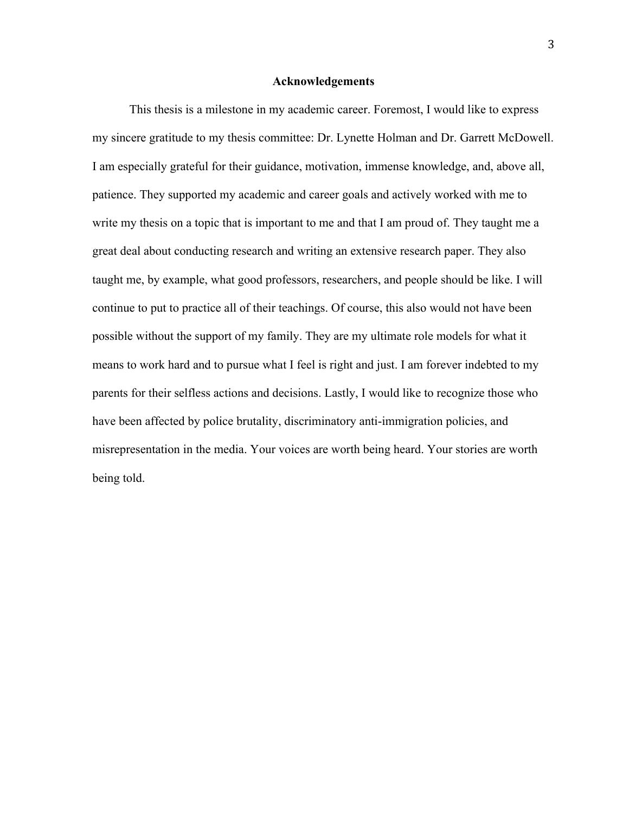#### **Acknowledgements**

This thesis is a milestone in my academic career. Foremost, I would like to express my sincere gratitude to my thesis committee: Dr. Lynette Holman and Dr. Garrett McDowell. I am especially grateful for their guidance, motivation, immense knowledge, and, above all, patience. They supported my academic and career goals and actively worked with me to write my thesis on a topic that is important to me and that I am proud of. They taught me a great deal about conducting research and writing an extensive research paper. They also taught me, by example, what good professors, researchers, and people should be like. I will continue to put to practice all of their teachings. Of course, this also would not have been possible without the support of my family. They are my ultimate role models for what it means to work hard and to pursue what I feel is right and just. I am forever indebted to my parents for their selfless actions and decisions. Lastly, I would like to recognize those who have been affected by police brutality, discriminatory anti-immigration policies, and misrepresentation in the media. Your voices are worth being heard. Your stories are worth being told.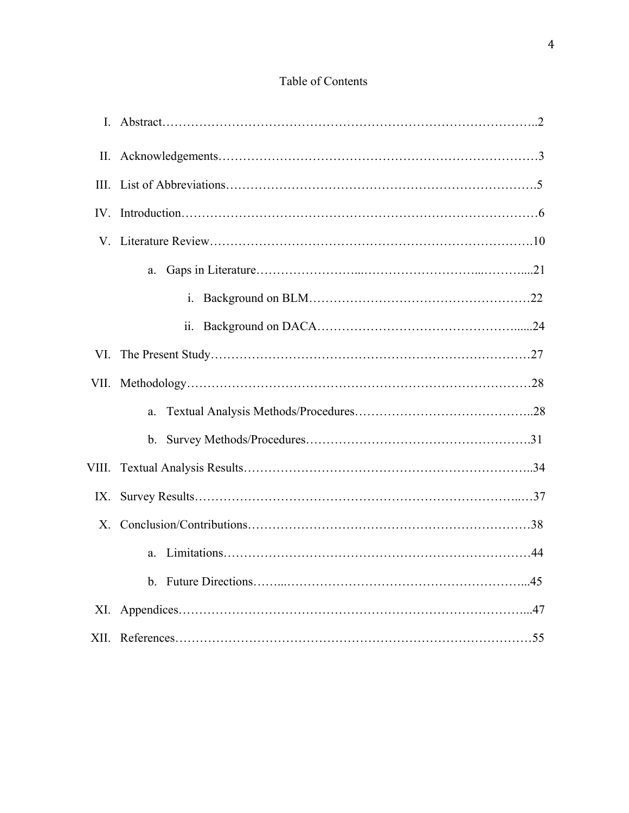## Table of Contents

| Н.    |                     |
|-------|---------------------|
| Ш.    |                     |
|       |                     |
|       |                     |
|       | a.                  |
|       | $\mathbf{i}$ .      |
|       | $\ddot{\mathbf{i}}$ |
| VI.   |                     |
|       |                     |
|       | a.                  |
|       |                     |
| VIII. |                     |
| IX.   |                     |
| X.    |                     |
|       | a.                  |
|       | $\mathbf{b}$ .      |
|       |                     |
|       |                     |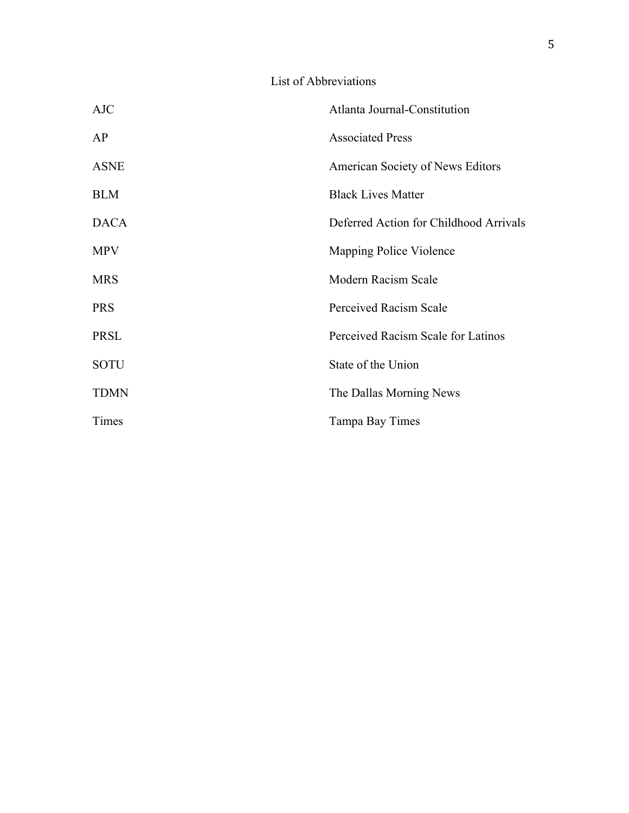### List of Abbreviations

| <b>AJC</b>  | Atlanta Journal-Constitution           |
|-------------|----------------------------------------|
| AP          | <b>Associated Press</b>                |
| <b>ASNE</b> | American Society of News Editors       |
| <b>BLM</b>  | <b>Black Lives Matter</b>              |
| <b>DACA</b> | Deferred Action for Childhood Arrivals |
| <b>MPV</b>  | Mapping Police Violence                |
| <b>MRS</b>  | Modern Racism Scale                    |
| <b>PRS</b>  | <b>Perceived Racism Scale</b>          |
| PRSL        | Perceived Racism Scale for Latinos     |
| <b>SOTU</b> | State of the Union                     |
| <b>TDMN</b> | The Dallas Morning News                |
| Times       | Tampa Bay Times                        |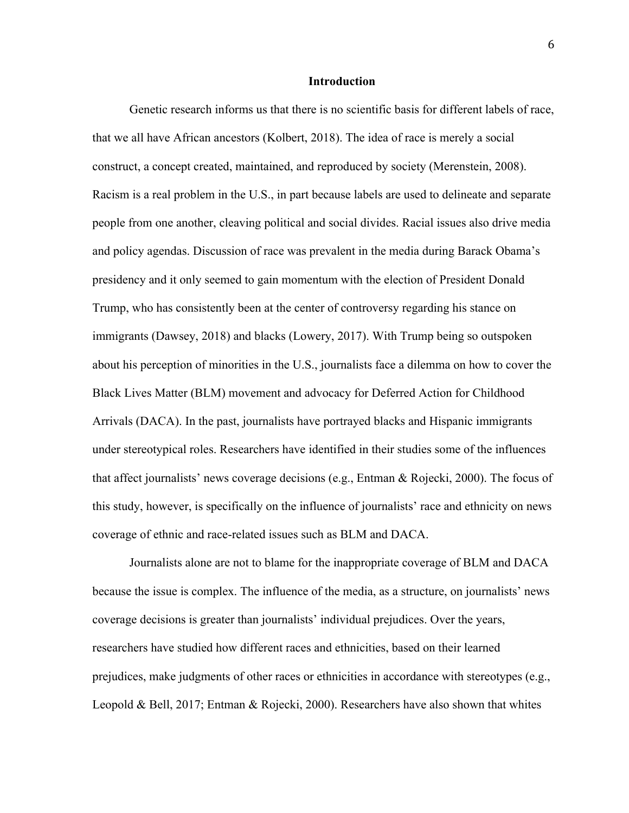#### **Introduction**

Genetic research informs us that there is no scientific basis for different labels of race, that we all have African ancestors (Kolbert, 2018). The idea of race is merely a social construct, a concept created, maintained, and reproduced by society (Merenstein, 2008). Racism is a real problem in the U.S., in part because labels are used to delineate and separate people from one another, cleaving political and social divides. Racial issues also drive media and policy agendas. Discussion of race was prevalent in the media during Barack Obama's presidency and it only seemed to gain momentum with the election of President Donald Trump, who has consistently been at the center of controversy regarding his stance on immigrants (Dawsey, 2018) and blacks (Lowery, 2017). With Trump being so outspoken about his perception of minorities in the U.S., journalists face a dilemma on how to cover the Black Lives Matter (BLM) movement and advocacy for Deferred Action for Childhood Arrivals (DACA). In the past, journalists have portrayed blacks and Hispanic immigrants under stereotypical roles. Researchers have identified in their studies some of the influences that affect journalists' news coverage decisions (e.g., Entman & Rojecki, 2000). The focus of this study, however, is specifically on the influence of journalists' race and ethnicity on news coverage of ethnic and race-related issues such as BLM and DACA.

Journalists alone are not to blame for the inappropriate coverage of BLM and DACA because the issue is complex. The influence of the media, as a structure, on journalists' news coverage decisions is greater than journalists' individual prejudices. Over the years, researchers have studied how different races and ethnicities, based on their learned prejudices, make judgments of other races or ethnicities in accordance with stereotypes (e.g., Leopold & Bell, 2017; Entman & Rojecki, 2000). Researchers have also shown that whites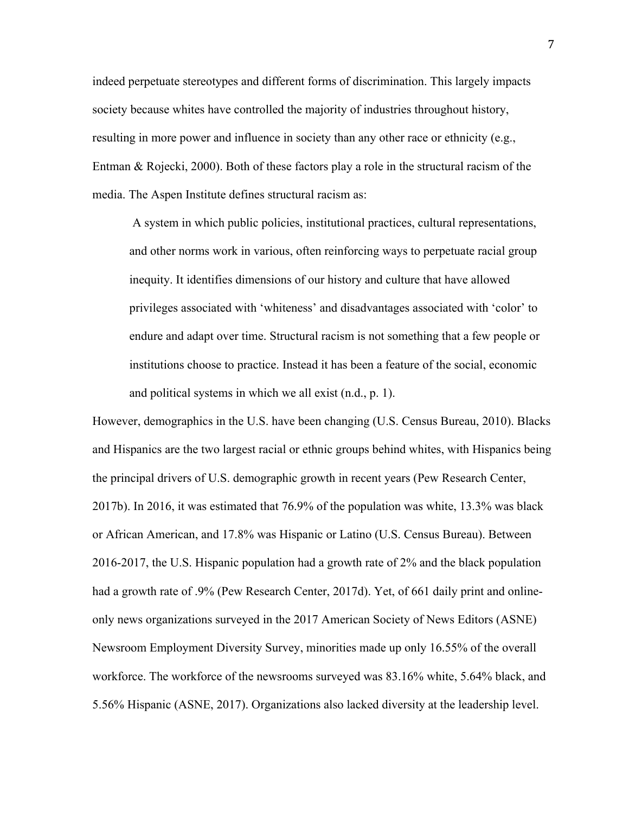indeed perpetuate stereotypes and different forms of discrimination. This largely impacts society because whites have controlled the majority of industries throughout history, resulting in more power and influence in society than any other race or ethnicity (e.g., Entman & Rojecki, 2000). Both of these factors play a role in the structural racism of the media. The Aspen Institute defines structural racism as:

A system in which public policies, institutional practices, cultural representations, and other norms work in various, often reinforcing ways to perpetuate racial group inequity. It identifies dimensions of our history and culture that have allowed privileges associated with 'whiteness' and disadvantages associated with 'color' to endure and adapt over time. Structural racism is not something that a few people or institutions choose to practice. Instead it has been a feature of the social, economic and political systems in which we all exist (n.d., p. 1).

However, demographics in the U.S. have been changing (U.S. Census Bureau, 2010). Blacks and Hispanics are the two largest racial or ethnic groups behind whites, with Hispanics being the principal drivers of U.S. demographic growth in recent years (Pew Research Center, 2017b). In 2016, it was estimated that 76.9% of the population was white, 13.3% was black or African American, and 17.8% was Hispanic or Latino (U.S. Census Bureau). Between 2016-2017, the U.S. Hispanic population had a growth rate of 2% and the black population had a growth rate of .9% (Pew Research Center, 2017d). Yet, of 661 daily print and onlineonly news organizations surveyed in the 2017 American Society of News Editors (ASNE) Newsroom Employment Diversity Survey, minorities made up only 16.55% of the overall workforce. The workforce of the newsrooms surveyed was 83.16% white, 5.64% black, and 5.56% Hispanic (ASNE, 2017). Organizations also lacked diversity at the leadership level.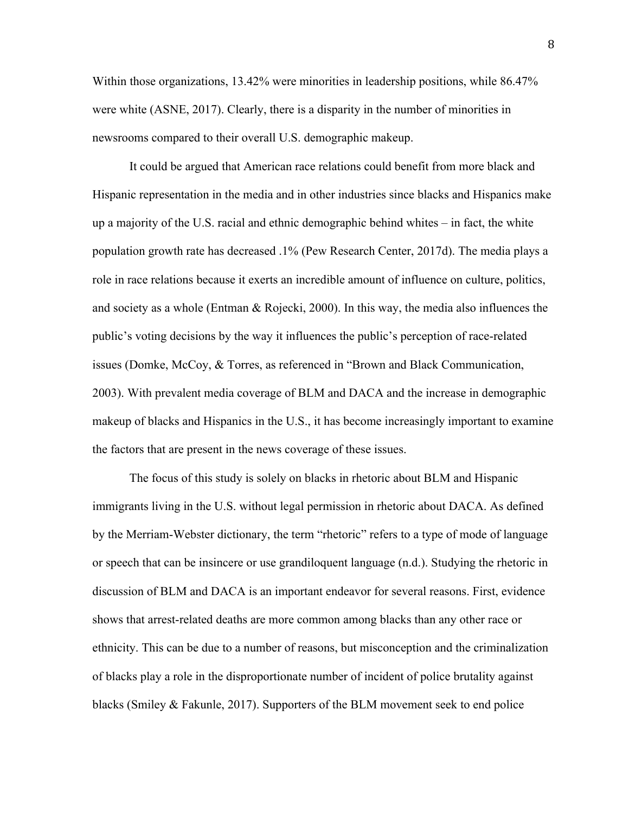Within those organizations, 13.42% were minorities in leadership positions, while 86.47% were white (ASNE, 2017). Clearly, there is a disparity in the number of minorities in newsrooms compared to their overall U.S. demographic makeup.

It could be argued that American race relations could benefit from more black and Hispanic representation in the media and in other industries since blacks and Hispanics make up a majority of the U.S. racial and ethnic demographic behind whites – in fact, the white population growth rate has decreased .1% (Pew Research Center, 2017d). The media plays a role in race relations because it exerts an incredible amount of influence on culture, politics, and society as a whole (Entman & Rojecki, 2000). In this way, the media also influences the public's voting decisions by the way it influences the public's perception of race-related issues (Domke, McCoy, & Torres, as referenced in "Brown and Black Communication, 2003). With prevalent media coverage of BLM and DACA and the increase in demographic makeup of blacks and Hispanics in the U.S., it has become increasingly important to examine the factors that are present in the news coverage of these issues.

The focus of this study is solely on blacks in rhetoric about BLM and Hispanic immigrants living in the U.S. without legal permission in rhetoric about DACA. As defined by the Merriam-Webster dictionary, the term "rhetoric" refers to a type of mode of language or speech that can be insincere or use grandiloquent language (n.d.). Studying the rhetoric in discussion of BLM and DACA is an important endeavor for several reasons. First, evidence shows that arrest-related deaths are more common among blacks than any other race or ethnicity. This can be due to a number of reasons, but misconception and the criminalization of blacks play a role in the disproportionate number of incident of police brutality against blacks (Smiley  $\&$  Fakunle, 2017). Supporters of the BLM movement seek to end police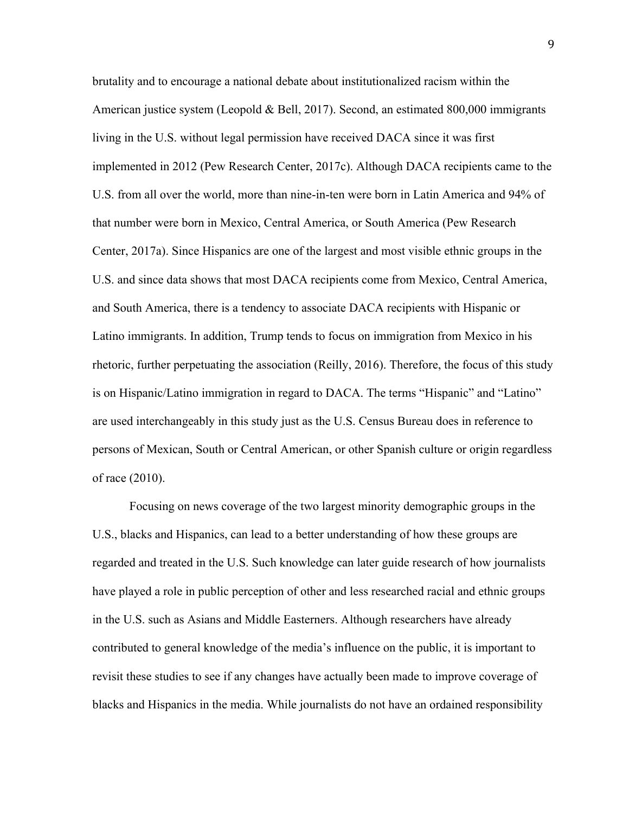brutality and to encourage a national debate about institutionalized racism within the American justice system (Leopold & Bell, 2017). Second, an estimated  $800,000$  immigrants living in the U.S. without legal permission have received DACA since it was first implemented in 2012 (Pew Research Center, 2017c). Although DACA recipients came to the U.S. from all over the world, more than nine-in-ten were born in Latin America and 94% of that number were born in Mexico, Central America, or South America (Pew Research Center, 2017a). Since Hispanics are one of the largest and most visible ethnic groups in the U.S. and since data shows that most DACA recipients come from Mexico, Central America, and South America, there is a tendency to associate DACA recipients with Hispanic or Latino immigrants. In addition, Trump tends to focus on immigration from Mexico in his rhetoric, further perpetuating the association (Reilly, 2016). Therefore, the focus of this study is on Hispanic/Latino immigration in regard to DACA. The terms "Hispanic" and "Latino" are used interchangeably in this study just as the U.S. Census Bureau does in reference to persons of Mexican, South or Central American, or other Spanish culture or origin regardless of race (2010).

Focusing on news coverage of the two largest minority demographic groups in the U.S., blacks and Hispanics, can lead to a better understanding of how these groups are regarded and treated in the U.S. Such knowledge can later guide research of how journalists have played a role in public perception of other and less researched racial and ethnic groups in the U.S. such as Asians and Middle Easterners. Although researchers have already contributed to general knowledge of the media's influence on the public, it is important to revisit these studies to see if any changes have actually been made to improve coverage of blacks and Hispanics in the media. While journalists do not have an ordained responsibility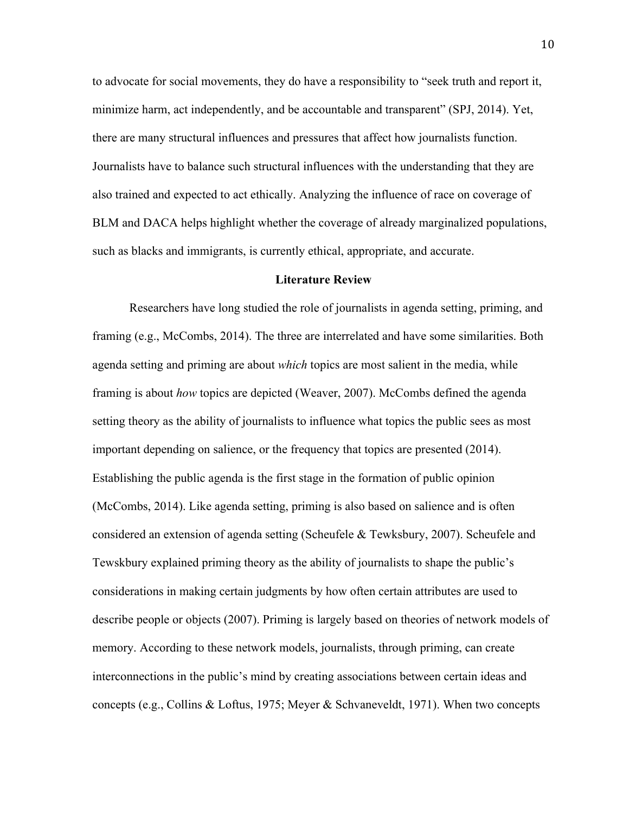to advocate for social movements, they do have a responsibility to "seek truth and report it, minimize harm, act independently, and be accountable and transparent" (SPJ, 2014). Yet, there are many structural influences and pressures that affect how journalists function. Journalists have to balance such structural influences with the understanding that they are also trained and expected to act ethically. Analyzing the influence of race on coverage of BLM and DACA helps highlight whether the coverage of already marginalized populations, such as blacks and immigrants, is currently ethical, appropriate, and accurate.

#### **Literature Review**

Researchers have long studied the role of journalists in agenda setting, priming, and framing (e.g., McCombs, 2014). The three are interrelated and have some similarities. Both agenda setting and priming are about *which* topics are most salient in the media, while framing is about *how* topics are depicted (Weaver, 2007). McCombs defined the agenda setting theory as the ability of journalists to influence what topics the public sees as most important depending on salience, or the frequency that topics are presented (2014). Establishing the public agenda is the first stage in the formation of public opinion (McCombs, 2014). Like agenda setting, priming is also based on salience and is often considered an extension of agenda setting (Scheufele & Tewksbury, 2007). Scheufele and Tewskbury explained priming theory as the ability of journalists to shape the public's considerations in making certain judgments by how often certain attributes are used to describe people or objects (2007). Priming is largely based on theories of network models of memory. According to these network models, journalists, through priming, can create interconnections in the public's mind by creating associations between certain ideas and concepts (e.g., Collins & Loftus, 1975; Meyer & Schvaneveldt, 1971). When two concepts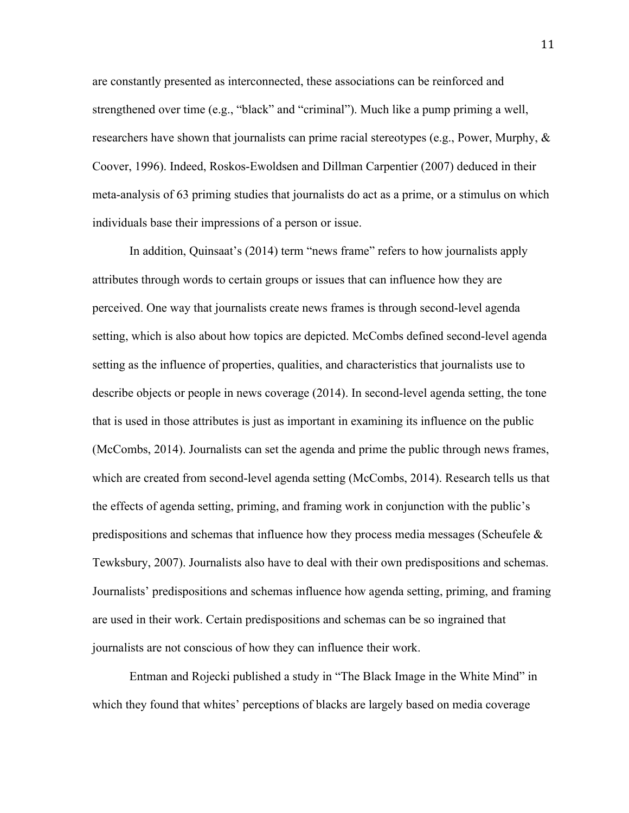are constantly presented as interconnected, these associations can be reinforced and strengthened over time (e.g., "black" and "criminal"). Much like a pump priming a well, researchers have shown that journalists can prime racial stereotypes (e.g., Power, Murphy, & Coover, 1996). Indeed, Roskos-Ewoldsen and Dillman Carpentier (2007) deduced in their meta-analysis of 63 priming studies that journalists do act as a prime, or a stimulus on which individuals base their impressions of a person or issue.

In addition, Quinsaat's (2014) term "news frame" refers to how journalists apply attributes through words to certain groups or issues that can influence how they are perceived. One way that journalists create news frames is through second-level agenda setting, which is also about how topics are depicted. McCombs defined second-level agenda setting as the influence of properties, qualities, and characteristics that journalists use to describe objects or people in news coverage (2014). In second-level agenda setting, the tone that is used in those attributes is just as important in examining its influence on the public (McCombs, 2014). Journalists can set the agenda and prime the public through news frames, which are created from second-level agenda setting (McCombs, 2014). Research tells us that the effects of agenda setting, priming, and framing work in conjunction with the public's predispositions and schemas that influence how they process media messages (Scheufele  $\&$ Tewksbury, 2007). Journalists also have to deal with their own predispositions and schemas. Journalists' predispositions and schemas influence how agenda setting, priming, and framing are used in their work. Certain predispositions and schemas can be so ingrained that journalists are not conscious of how they can influence their work.

Entman and Rojecki published a study in "The Black Image in the White Mind" in which they found that whites' perceptions of blacks are largely based on media coverage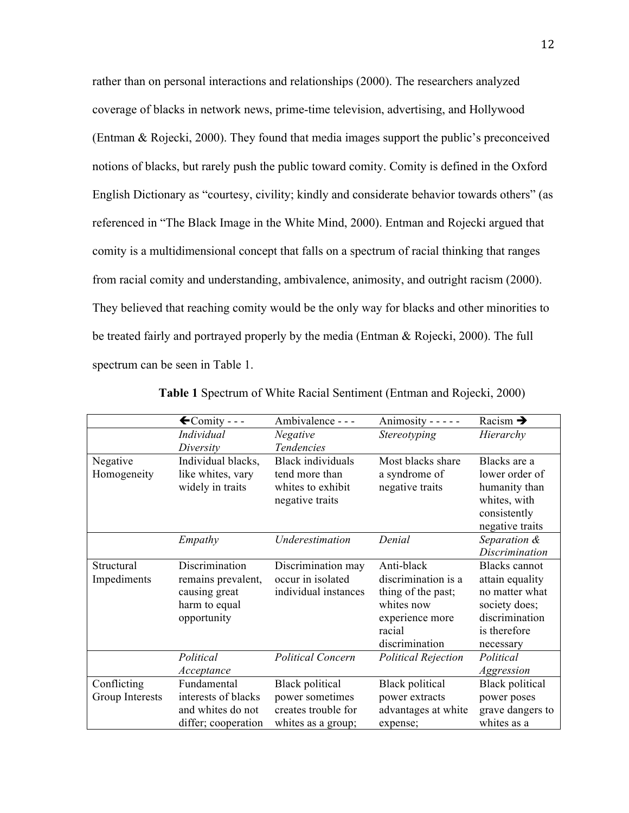rather than on personal interactions and relationships (2000). The researchers analyzed coverage of blacks in network news, prime-time television, advertising, and Hollywood (Entman & Rojecki, 2000). They found that media images support the public's preconceived notions of blacks, but rarely push the public toward comity. Comity is defined in the Oxford English Dictionary as "courtesy, civility; kindly and considerate behavior towards others" (as referenced in "The Black Image in the White Mind, 2000). Entman and Rojecki argued that comity is a multidimensional concept that falls on a spectrum of racial thinking that ranges from racial comity and understanding, ambivalence, animosity, and outright racism (2000). They believed that reaching comity would be the only way for blacks and other minorities to be treated fairly and portrayed properly by the media (Entman & Rojecki, 2000). The full spectrum can be seen in Table 1.

|                 | $\bigstar$ Comity - - - | Ambivalence - - -        | Animosity - - - - -        | Racism $\rightarrow$   |
|-----------------|-------------------------|--------------------------|----------------------------|------------------------|
|                 | Individual              | <b>Negative</b>          | Stereotyping               | Hierarchy              |
|                 | Diversity               | Tendencies               |                            |                        |
| Negative        | Individual blacks,      | <b>Black</b> individuals | Most blacks share          | Blacks are a           |
| Homogeneity     | like whites, vary       | tend more than           | a syndrome of              | lower order of         |
|                 | widely in traits        | whites to exhibit        | negative traits            | humanity than          |
|                 |                         | negative traits          |                            | whites, with           |
|                 |                         |                          |                            | consistently           |
|                 |                         |                          |                            | negative traits        |
|                 | Empathy                 | Underestimation          | Denial                     | Separation &           |
|                 |                         |                          |                            | <b>Discrimination</b>  |
| Structural      | Discrimination          | Discrimination may       | Anti-black                 | <b>Blacks</b> cannot   |
| Impediments     | remains prevalent,      | occur in isolated        | discrimination is a        | attain equality        |
|                 | causing great           | individual instances     | thing of the past;         | no matter what         |
|                 | harm to equal           |                          | whites now                 | society does;          |
|                 | opportunity             |                          | experience more            | discrimination         |
|                 |                         |                          | racial                     | is therefore           |
|                 |                         |                          | discrimination             | necessary              |
|                 | Political               | <b>Political Concern</b> | <b>Political Rejection</b> | Political              |
|                 | Acceptance              |                          |                            | Aggression             |
| Conflicting     | Fundamental             | <b>Black political</b>   | <b>Black political</b>     | <b>Black political</b> |
| Group Interests | interests of blacks     | power sometimes          | power extracts             | power poses            |
|                 | and whites do not       | creates trouble for      | advantages at white        | grave dangers to       |
|                 | differ; cooperation     | whites as a group;       | expense;                   | whites as a            |

**Table 1** Spectrum of White Racial Sentiment (Entman and Rojecki, 2000)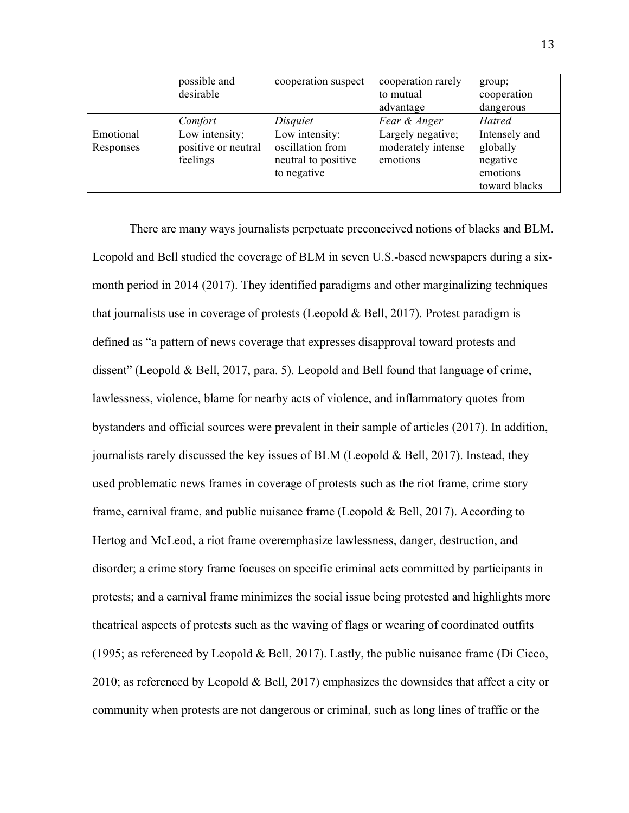|                        | possible and<br>desirable                         | cooperation suspect                                                      | cooperation rarely<br>to mutual<br>advantage        | group;<br>cooperation<br>dangerous                                 |
|------------------------|---------------------------------------------------|--------------------------------------------------------------------------|-----------------------------------------------------|--------------------------------------------------------------------|
|                        | Comfort                                           | Disquiet                                                                 | Fear & Anger                                        | Hatred                                                             |
| Emotional<br>Responses | Low intensity;<br>positive or neutral<br>feelings | Low intensity;<br>oscillation from<br>neutral to positive<br>to negative | Largely negative;<br>moderately intense<br>emotions | Intensely and<br>globally<br>negative<br>emotions<br>toward blacks |

There are many ways journalists perpetuate preconceived notions of blacks and BLM. Leopold and Bell studied the coverage of BLM in seven U.S.-based newspapers during a sixmonth period in 2014 (2017). They identified paradigms and other marginalizing techniques that journalists use in coverage of protests (Leopold  $& Bell, 2017$ ). Protest paradigm is defined as "a pattern of news coverage that expresses disapproval toward protests and dissent" (Leopold & Bell, 2017, para. 5). Leopold and Bell found that language of crime, lawlessness, violence, blame for nearby acts of violence, and inflammatory quotes from bystanders and official sources were prevalent in their sample of articles (2017). In addition, journalists rarely discussed the key issues of BLM (Leopold  $& Bell, 2017$ ). Instead, they used problematic news frames in coverage of protests such as the riot frame, crime story frame, carnival frame, and public nuisance frame (Leopold & Bell, 2017). According to Hertog and McLeod, a riot frame overemphasize lawlessness, danger, destruction, and disorder; a crime story frame focuses on specific criminal acts committed by participants in protests; and a carnival frame minimizes the social issue being protested and highlights more theatrical aspects of protests such as the waving of flags or wearing of coordinated outfits (1995; as referenced by Leopold & Bell, 2017). Lastly, the public nuisance frame (Di Cicco, 2010; as referenced by Leopold & Bell, 2017) emphasizes the downsides that affect a city or community when protests are not dangerous or criminal, such as long lines of traffic or the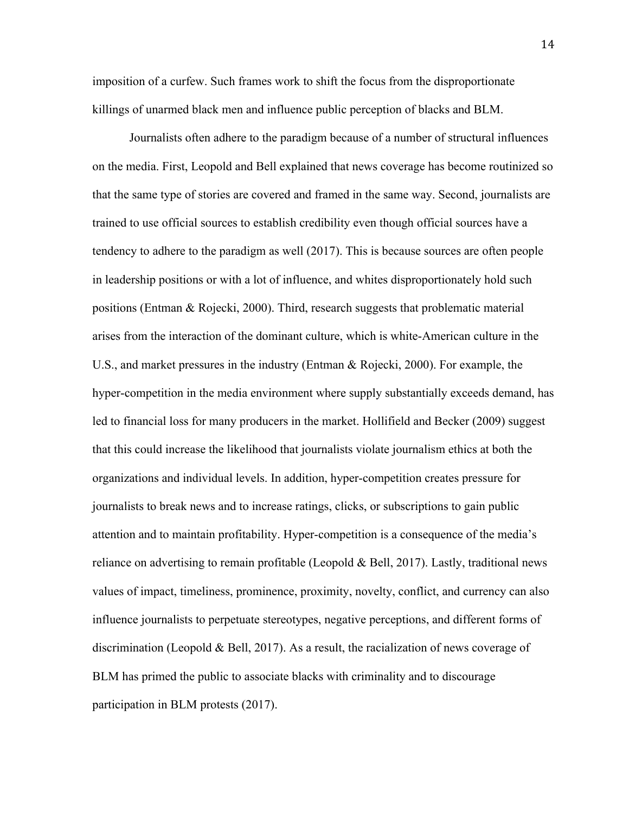imposition of a curfew. Such frames work to shift the focus from the disproportionate killings of unarmed black men and influence public perception of blacks and BLM.

Journalists often adhere to the paradigm because of a number of structural influences on the media. First, Leopold and Bell explained that news coverage has become routinized so that the same type of stories are covered and framed in the same way. Second, journalists are trained to use official sources to establish credibility even though official sources have a tendency to adhere to the paradigm as well (2017). This is because sources are often people in leadership positions or with a lot of influence, and whites disproportionately hold such positions (Entman & Rojecki, 2000). Third, research suggests that problematic material arises from the interaction of the dominant culture, which is white-American culture in the U.S., and market pressures in the industry (Entman & Rojecki, 2000). For example, the hyper-competition in the media environment where supply substantially exceeds demand, has led to financial loss for many producers in the market. Hollifield and Becker (2009) suggest that this could increase the likelihood that journalists violate journalism ethics at both the organizations and individual levels. In addition, hyper-competition creates pressure for journalists to break news and to increase ratings, clicks, or subscriptions to gain public attention and to maintain profitability. Hyper-competition is a consequence of the media's reliance on advertising to remain profitable (Leopold  $& Bell, 2017$ ). Lastly, traditional news values of impact, timeliness, prominence, proximity, novelty, conflict, and currency can also influence journalists to perpetuate stereotypes, negative perceptions, and different forms of discrimination (Leopold & Bell, 2017). As a result, the racialization of news coverage of BLM has primed the public to associate blacks with criminality and to discourage participation in BLM protests (2017).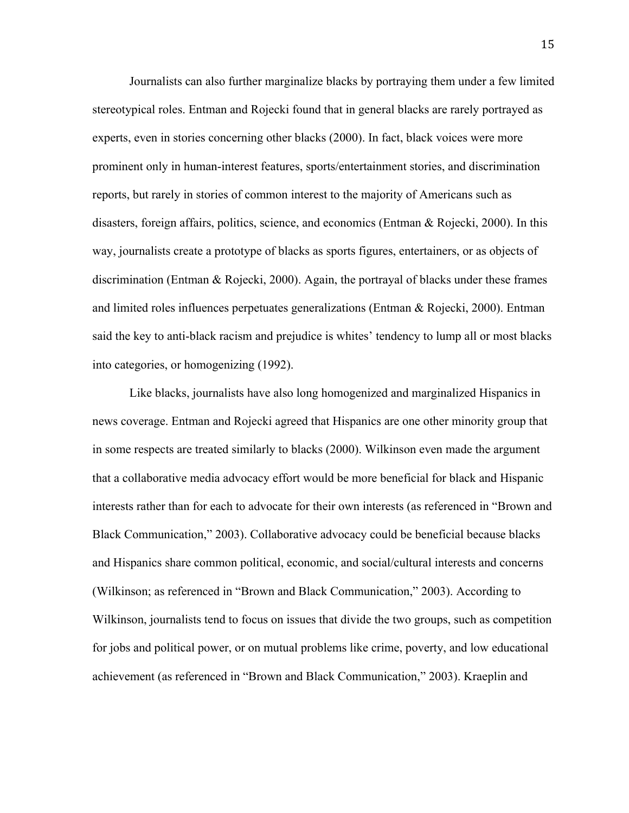Journalists can also further marginalize blacks by portraying them under a few limited stereotypical roles. Entman and Rojecki found that in general blacks are rarely portrayed as experts, even in stories concerning other blacks (2000). In fact, black voices were more prominent only in human-interest features, sports/entertainment stories, and discrimination reports, but rarely in stories of common interest to the majority of Americans such as disasters, foreign affairs, politics, science, and economics (Entman & Rojecki, 2000). In this way, journalists create a prototype of blacks as sports figures, entertainers, or as objects of discrimination (Entman & Rojecki, 2000). Again, the portrayal of blacks under these frames and limited roles influences perpetuates generalizations (Entman & Rojecki, 2000). Entman said the key to anti-black racism and prejudice is whites' tendency to lump all or most blacks into categories, or homogenizing (1992).

Like blacks, journalists have also long homogenized and marginalized Hispanics in news coverage. Entman and Rojecki agreed that Hispanics are one other minority group that in some respects are treated similarly to blacks (2000). Wilkinson even made the argument that a collaborative media advocacy effort would be more beneficial for black and Hispanic interests rather than for each to advocate for their own interests (as referenced in "Brown and Black Communication," 2003). Collaborative advocacy could be beneficial because blacks and Hispanics share common political, economic, and social/cultural interests and concerns (Wilkinson; as referenced in "Brown and Black Communication," 2003). According to Wilkinson, journalists tend to focus on issues that divide the two groups, such as competition for jobs and political power, or on mutual problems like crime, poverty, and low educational achievement (as referenced in "Brown and Black Communication," 2003). Kraeplin and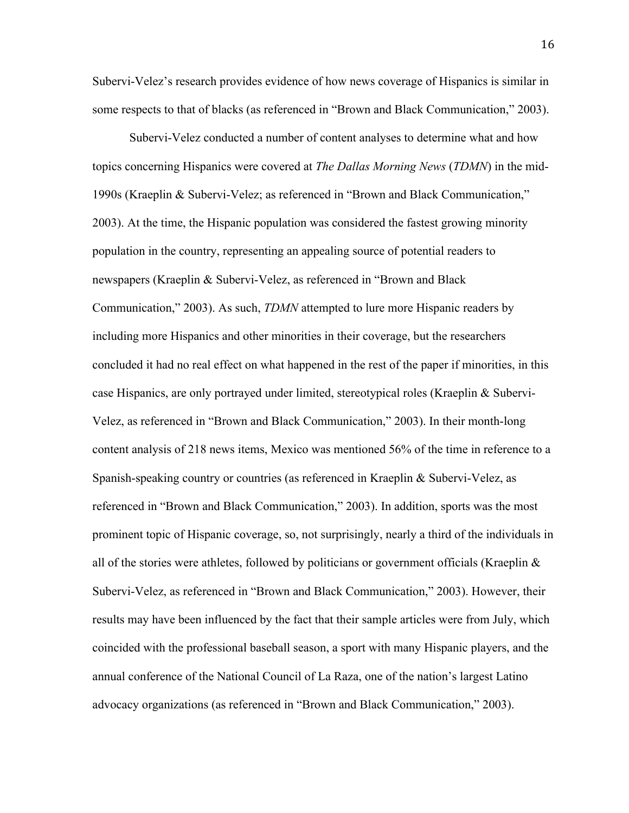Subervi-Velez's research provides evidence of how news coverage of Hispanics is similar in some respects to that of blacks (as referenced in "Brown and Black Communication," 2003).

Subervi-Velez conducted a number of content analyses to determine what and how topics concerning Hispanics were covered at *The Dallas Morning News* (*TDMN*) in the mid-1990s (Kraeplin & Subervi-Velez; as referenced in "Brown and Black Communication," 2003). At the time, the Hispanic population was considered the fastest growing minority population in the country, representing an appealing source of potential readers to newspapers (Kraeplin & Subervi-Velez, as referenced in "Brown and Black Communication," 2003). As such, *TDMN* attempted to lure more Hispanic readers by including more Hispanics and other minorities in their coverage, but the researchers concluded it had no real effect on what happened in the rest of the paper if minorities, in this case Hispanics, are only portrayed under limited, stereotypical roles (Kraeplin & Subervi-Velez, as referenced in "Brown and Black Communication," 2003). In their month-long content analysis of 218 news items, Mexico was mentioned 56% of the time in reference to a Spanish-speaking country or countries (as referenced in Kraeplin & Subervi-Velez, as referenced in "Brown and Black Communication," 2003). In addition, sports was the most prominent topic of Hispanic coverage, so, not surprisingly, nearly a third of the individuals in all of the stories were athletes, followed by politicians or government officials (Kraeplin  $\&$ Subervi-Velez, as referenced in "Brown and Black Communication," 2003). However, their results may have been influenced by the fact that their sample articles were from July, which coincided with the professional baseball season, a sport with many Hispanic players, and the annual conference of the National Council of La Raza, one of the nation's largest Latino advocacy organizations (as referenced in "Brown and Black Communication," 2003).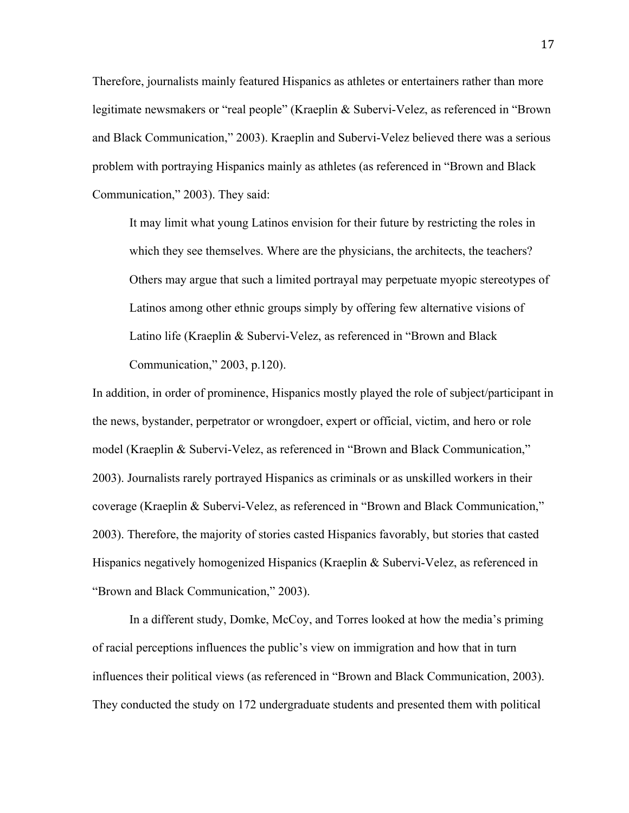Therefore, journalists mainly featured Hispanics as athletes or entertainers rather than more legitimate newsmakers or "real people" (Kraeplin & Subervi-Velez, as referenced in "Brown and Black Communication," 2003). Kraeplin and Subervi-Velez believed there was a serious problem with portraying Hispanics mainly as athletes (as referenced in "Brown and Black Communication," 2003). They said:

It may limit what young Latinos envision for their future by restricting the roles in which they see themselves. Where are the physicians, the architects, the teachers? Others may argue that such a limited portrayal may perpetuate myopic stereotypes of Latinos among other ethnic groups simply by offering few alternative visions of Latino life (Kraeplin & Subervi-Velez, as referenced in "Brown and Black Communication," 2003, p.120).

In addition, in order of prominence, Hispanics mostly played the role of subject/participant in the news, bystander, perpetrator or wrongdoer, expert or official, victim, and hero or role model (Kraeplin & Subervi-Velez, as referenced in "Brown and Black Communication," 2003). Journalists rarely portrayed Hispanics as criminals or as unskilled workers in their coverage (Kraeplin & Subervi-Velez, as referenced in "Brown and Black Communication," 2003). Therefore, the majority of stories casted Hispanics favorably, but stories that casted Hispanics negatively homogenized Hispanics (Kraeplin & Subervi-Velez, as referenced in "Brown and Black Communication," 2003).

In a different study, Domke, McCoy, and Torres looked at how the media's priming of racial perceptions influences the public's view on immigration and how that in turn influences their political views (as referenced in "Brown and Black Communication, 2003). They conducted the study on 172 undergraduate students and presented them with political

17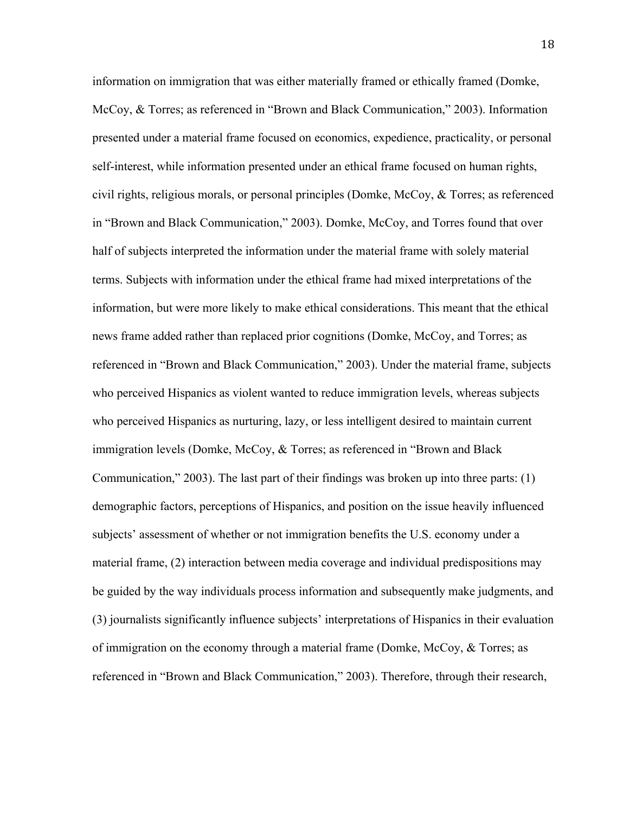information on immigration that was either materially framed or ethically framed (Domke, McCoy, & Torres; as referenced in "Brown and Black Communication," 2003). Information presented under a material frame focused on economics, expedience, practicality, or personal self-interest, while information presented under an ethical frame focused on human rights, civil rights, religious morals, or personal principles (Domke, McCoy, & Torres; as referenced in "Brown and Black Communication," 2003). Domke, McCoy, and Torres found that over half of subjects interpreted the information under the material frame with solely material terms. Subjects with information under the ethical frame had mixed interpretations of the information, but were more likely to make ethical considerations. This meant that the ethical news frame added rather than replaced prior cognitions (Domke, McCoy, and Torres; as referenced in "Brown and Black Communication," 2003). Under the material frame, subjects who perceived Hispanics as violent wanted to reduce immigration levels, whereas subjects who perceived Hispanics as nurturing, lazy, or less intelligent desired to maintain current immigration levels (Domke, McCoy, & Torres; as referenced in "Brown and Black" Communication," 2003). The last part of their findings was broken up into three parts: (1) demographic factors, perceptions of Hispanics, and position on the issue heavily influenced subjects' assessment of whether or not immigration benefits the U.S. economy under a material frame, (2) interaction between media coverage and individual predispositions may be guided by the way individuals process information and subsequently make judgments, and (3) journalists significantly influence subjects' interpretations of Hispanics in their evaluation of immigration on the economy through a material frame (Domke, McCoy,  $\&$  Torres; as referenced in "Brown and Black Communication," 2003). Therefore, through their research,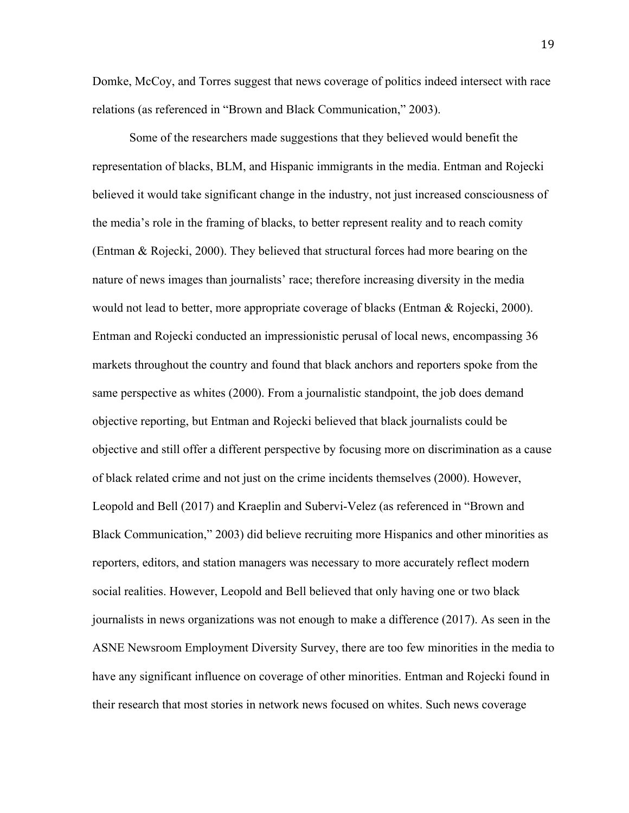Domke, McCoy, and Torres suggest that news coverage of politics indeed intersect with race relations (as referenced in "Brown and Black Communication," 2003).

Some of the researchers made suggestions that they believed would benefit the representation of blacks, BLM, and Hispanic immigrants in the media. Entman and Rojecki believed it would take significant change in the industry, not just increased consciousness of the media's role in the framing of blacks, to better represent reality and to reach comity (Entman & Rojecki, 2000). They believed that structural forces had more bearing on the nature of news images than journalists' race; therefore increasing diversity in the media would not lead to better, more appropriate coverage of blacks (Entman & Rojecki, 2000). Entman and Rojecki conducted an impressionistic perusal of local news, encompassing 36 markets throughout the country and found that black anchors and reporters spoke from the same perspective as whites (2000). From a journalistic standpoint, the job does demand objective reporting, but Entman and Rojecki believed that black journalists could be objective and still offer a different perspective by focusing more on discrimination as a cause of black related crime and not just on the crime incidents themselves (2000). However, Leopold and Bell (2017) and Kraeplin and Subervi-Velez (as referenced in "Brown and Black Communication," 2003) did believe recruiting more Hispanics and other minorities as reporters, editors, and station managers was necessary to more accurately reflect modern social realities. However, Leopold and Bell believed that only having one or two black journalists in news organizations was not enough to make a difference (2017). As seen in the ASNE Newsroom Employment Diversity Survey, there are too few minorities in the media to have any significant influence on coverage of other minorities. Entman and Rojecki found in their research that most stories in network news focused on whites. Such news coverage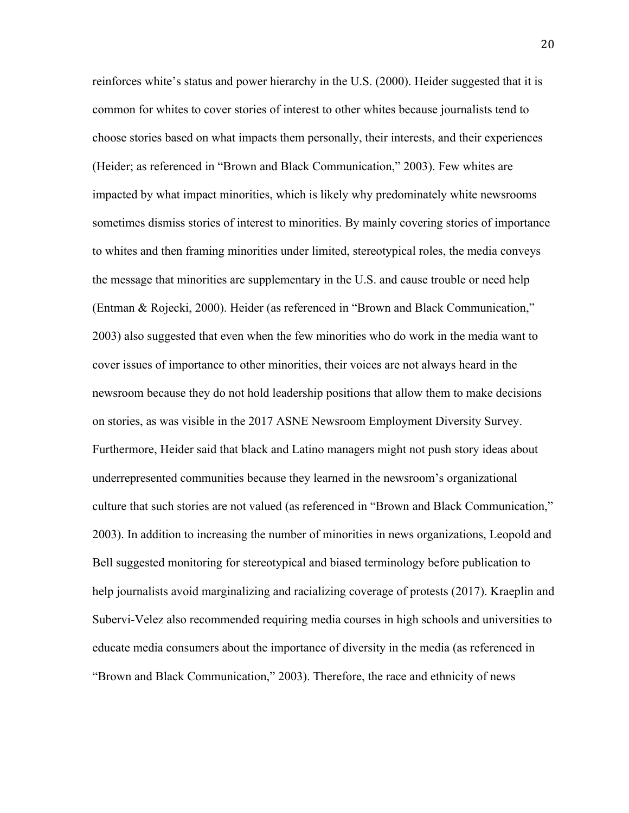reinforces white's status and power hierarchy in the U.S. (2000). Heider suggested that it is common for whites to cover stories of interest to other whites because journalists tend to choose stories based on what impacts them personally, their interests, and their experiences (Heider; as referenced in "Brown and Black Communication," 2003). Few whites are impacted by what impact minorities, which is likely why predominately white newsrooms sometimes dismiss stories of interest to minorities. By mainly covering stories of importance to whites and then framing minorities under limited, stereotypical roles, the media conveys the message that minorities are supplementary in the U.S. and cause trouble or need help (Entman & Rojecki, 2000). Heider (as referenced in "Brown and Black Communication," 2003) also suggested that even when the few minorities who do work in the media want to cover issues of importance to other minorities, their voices are not always heard in the newsroom because they do not hold leadership positions that allow them to make decisions on stories, as was visible in the 2017 ASNE Newsroom Employment Diversity Survey. Furthermore, Heider said that black and Latino managers might not push story ideas about underrepresented communities because they learned in the newsroom's organizational culture that such stories are not valued (as referenced in "Brown and Black Communication," 2003). In addition to increasing the number of minorities in news organizations, Leopold and Bell suggested monitoring for stereotypical and biased terminology before publication to help journalists avoid marginalizing and racializing coverage of protests (2017). Kraeplin and Subervi-Velez also recommended requiring media courses in high schools and universities to educate media consumers about the importance of diversity in the media (as referenced in "Brown and Black Communication," 2003). Therefore, the race and ethnicity of news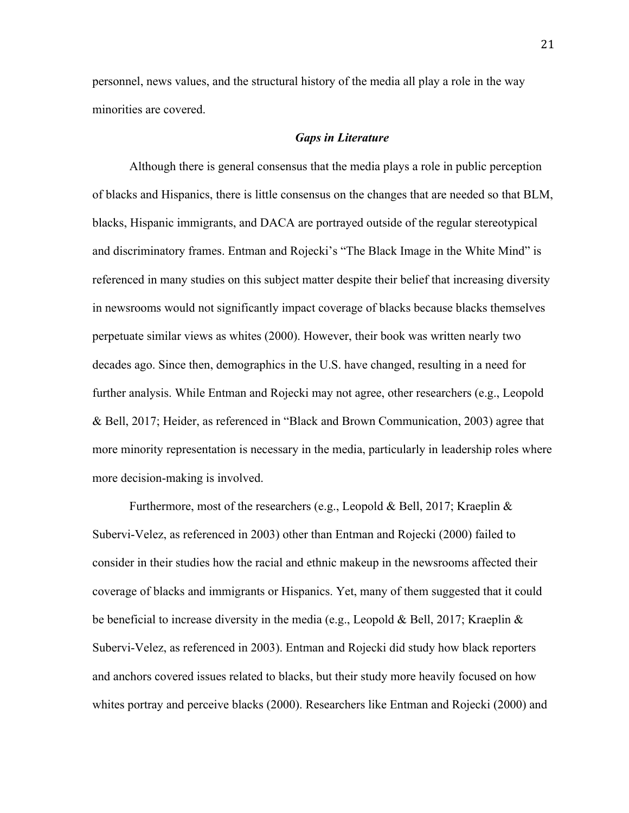personnel, news values, and the structural history of the media all play a role in the way minorities are covered.

#### *Gaps in Literature*

Although there is general consensus that the media plays a role in public perception of blacks and Hispanics, there is little consensus on the changes that are needed so that BLM, blacks, Hispanic immigrants, and DACA are portrayed outside of the regular stereotypical and discriminatory frames. Entman and Rojecki's "The Black Image in the White Mind" is referenced in many studies on this subject matter despite their belief that increasing diversity in newsrooms would not significantly impact coverage of blacks because blacks themselves perpetuate similar views as whites (2000). However, their book was written nearly two decades ago. Since then, demographics in the U.S. have changed, resulting in a need for further analysis. While Entman and Rojecki may not agree, other researchers (e.g., Leopold & Bell, 2017; Heider, as referenced in "Black and Brown Communication, 2003) agree that more minority representation is necessary in the media, particularly in leadership roles where more decision-making is involved.

Furthermore, most of the researchers (e.g., Leopold & Bell, 2017; Kraeplin & Subervi-Velez, as referenced in 2003) other than Entman and Rojecki (2000) failed to consider in their studies how the racial and ethnic makeup in the newsrooms affected their coverage of blacks and immigrants or Hispanics. Yet, many of them suggested that it could be beneficial to increase diversity in the media (e.g., Leopold & Bell, 2017; Kraeplin & Subervi-Velez, as referenced in 2003). Entman and Rojecki did study how black reporters and anchors covered issues related to blacks, but their study more heavily focused on how whites portray and perceive blacks (2000). Researchers like Entman and Rojecki (2000) and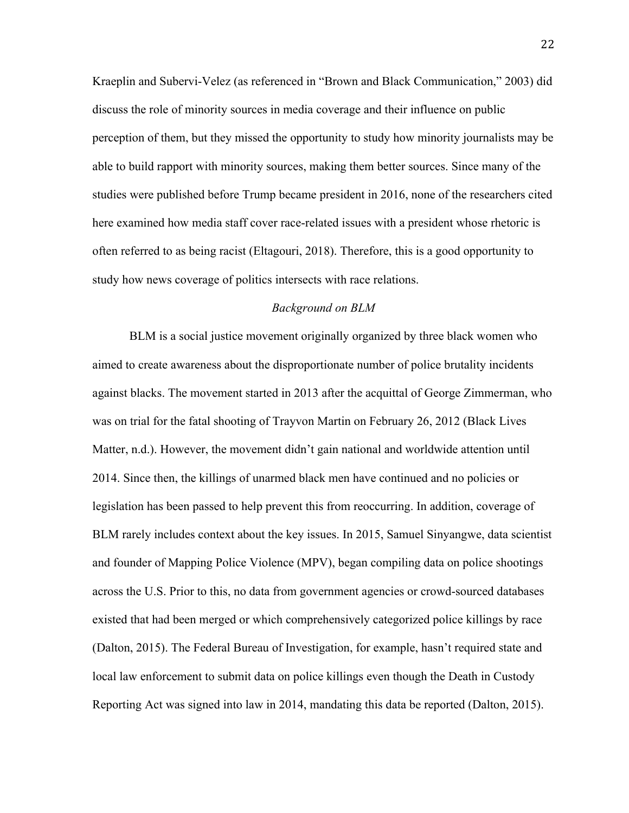Kraeplin and Subervi-Velez (as referenced in "Brown and Black Communication," 2003) did discuss the role of minority sources in media coverage and their influence on public perception of them, but they missed the opportunity to study how minority journalists may be able to build rapport with minority sources, making them better sources. Since many of the studies were published before Trump became president in 2016, none of the researchers cited here examined how media staff cover race-related issues with a president whose rhetoric is often referred to as being racist (Eltagouri, 2018). Therefore, this is a good opportunity to study how news coverage of politics intersects with race relations.

#### *Background on BLM*

BLM is a social justice movement originally organized by three black women who aimed to create awareness about the disproportionate number of police brutality incidents against blacks. The movement started in 2013 after the acquittal of George Zimmerman, who was on trial for the fatal shooting of Trayvon Martin on February 26, 2012 (Black Lives Matter, n.d.). However, the movement didn't gain national and worldwide attention until 2014. Since then, the killings of unarmed black men have continued and no policies or legislation has been passed to help prevent this from reoccurring. In addition, coverage of BLM rarely includes context about the key issues. In 2015, Samuel Sinyangwe, data scientist and founder of Mapping Police Violence (MPV), began compiling data on police shootings across the U.S. Prior to this, no data from government agencies or crowd-sourced databases existed that had been merged or which comprehensively categorized police killings by race (Dalton, 2015). The Federal Bureau of Investigation, for example, hasn't required state and local law enforcement to submit data on police killings even though the Death in Custody Reporting Act was signed into law in 2014, mandating this data be reported (Dalton, 2015).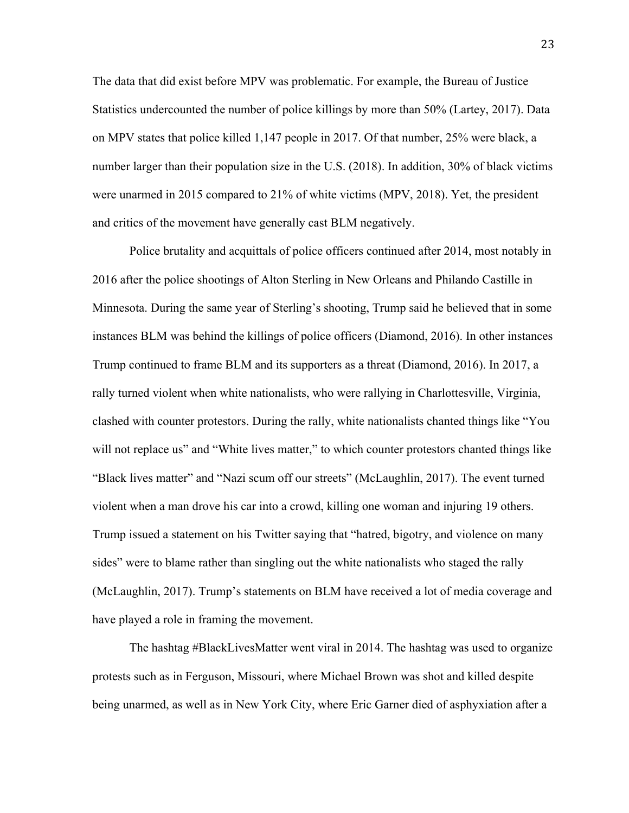The data that did exist before MPV was problematic. For example, the Bureau of Justice Statistics undercounted the number of police killings by more than 50% (Lartey, 2017). Data on MPV states that police killed 1,147 people in 2017. Of that number, 25% were black, a number larger than their population size in the U.S. (2018). In addition, 30% of black victims were unarmed in 2015 compared to 21% of white victims (MPV, 2018). Yet, the president and critics of the movement have generally cast BLM negatively.

Police brutality and acquittals of police officers continued after 2014, most notably in 2016 after the police shootings of Alton Sterling in New Orleans and Philando Castille in Minnesota. During the same year of Sterling's shooting, Trump said he believed that in some instances BLM was behind the killings of police officers (Diamond, 2016). In other instances Trump continued to frame BLM and its supporters as a threat (Diamond, 2016). In 2017, a rally turned violent when white nationalists, who were rallying in Charlottesville, Virginia, clashed with counter protestors. During the rally, white nationalists chanted things like "You will not replace us" and "White lives matter," to which counter protestors chanted things like "Black lives matter" and "Nazi scum off our streets" (McLaughlin, 2017). The event turned violent when a man drove his car into a crowd, killing one woman and injuring 19 others. Trump issued a statement on his Twitter saying that "hatred, bigotry, and violence on many sides" were to blame rather than singling out the white nationalists who staged the rally (McLaughlin, 2017). Trump's statements on BLM have received a lot of media coverage and have played a role in framing the movement.

The hashtag #BlackLivesMatter went viral in 2014. The hashtag was used to organize protests such as in Ferguson, Missouri, where Michael Brown was shot and killed despite being unarmed, as well as in New York City, where Eric Garner died of asphyxiation after a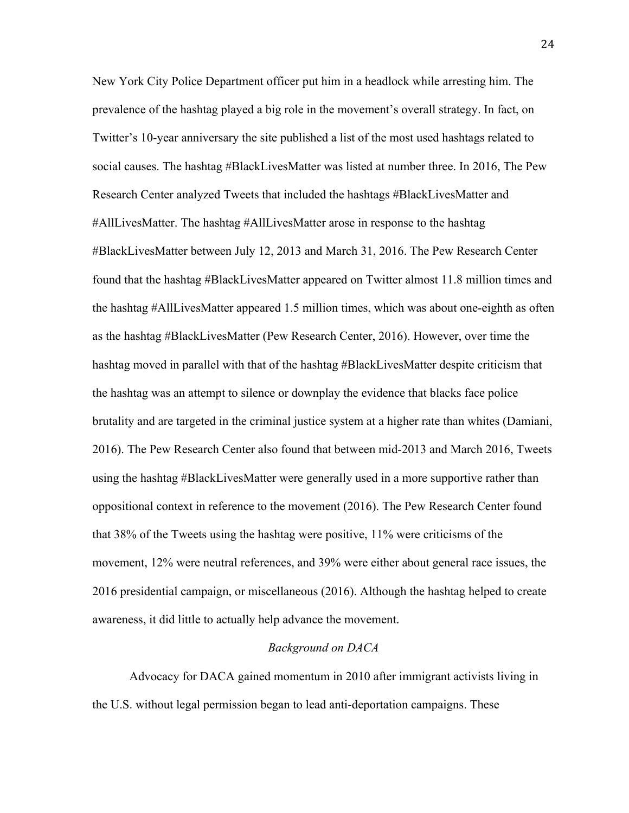New York City Police Department officer put him in a headlock while arresting him. The prevalence of the hashtag played a big role in the movement's overall strategy. In fact, on Twitter's 10-year anniversary the site published a list of the most used hashtags related to social causes. The hashtag #BlackLivesMatter was listed at number three. In 2016, The Pew Research Center analyzed Tweets that included the hashtags #BlackLivesMatter and #AllLivesMatter. The hashtag #AllLivesMatter arose in response to the hashtag #BlackLivesMatter between July 12, 2013 and March 31, 2016. The Pew Research Center found that the hashtag #BlackLivesMatter appeared on Twitter almost 11.8 million times and the hashtag #AllLivesMatter appeared 1.5 million times, which was about one-eighth as often as the hashtag #BlackLivesMatter (Pew Research Center, 2016). However, over time the hashtag moved in parallel with that of the hashtag #BlackLivesMatter despite criticism that the hashtag was an attempt to silence or downplay the evidence that blacks face police brutality and are targeted in the criminal justice system at a higher rate than whites (Damiani, 2016). The Pew Research Center also found that between mid-2013 and March 2016, Tweets using the hashtag #BlackLivesMatter were generally used in a more supportive rather than oppositional context in reference to the movement (2016). The Pew Research Center found that 38% of the Tweets using the hashtag were positive, 11% were criticisms of the movement, 12% were neutral references, and 39% were either about general race issues, the 2016 presidential campaign, or miscellaneous (2016). Although the hashtag helped to create awareness, it did little to actually help advance the movement.

#### *Background on DACA*

Advocacy for DACA gained momentum in 2010 after immigrant activists living in the U.S. without legal permission began to lead anti-deportation campaigns. These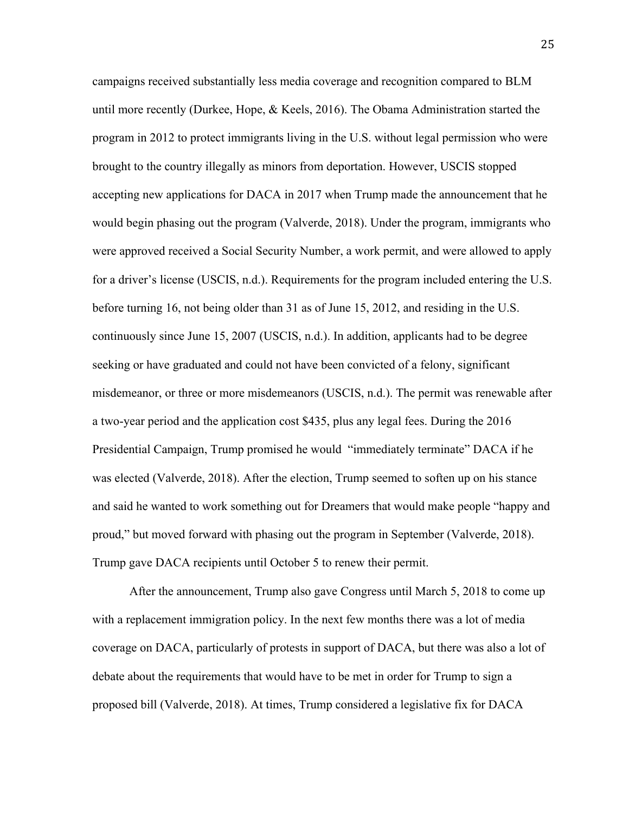campaigns received substantially less media coverage and recognition compared to BLM until more recently (Durkee, Hope, & Keels, 2016). The Obama Administration started the program in 2012 to protect immigrants living in the U.S. without legal permission who were brought to the country illegally as minors from deportation. However, USCIS stopped accepting new applications for DACA in 2017 when Trump made the announcement that he would begin phasing out the program (Valverde, 2018). Under the program, immigrants who were approved received a Social Security Number, a work permit, and were allowed to apply for a driver's license (USCIS, n.d.). Requirements for the program included entering the U.S. before turning 16, not being older than 31 as of June 15, 2012, and residing in the U.S. continuously since June 15, 2007 (USCIS, n.d.). In addition, applicants had to be degree seeking or have graduated and could not have been convicted of a felony, significant misdemeanor, or three or more misdemeanors (USCIS, n.d.). The permit was renewable after a two-year period and the application cost \$435, plus any legal fees. During the 2016 Presidential Campaign, Trump promised he would "immediately terminate" DACA if he was elected (Valverde, 2018). After the election, Trump seemed to soften up on his stance and said he wanted to work something out for Dreamers that would make people "happy and proud," but moved forward with phasing out the program in September (Valverde, 2018). Trump gave DACA recipients until October 5 to renew their permit.

After the announcement, Trump also gave Congress until March 5, 2018 to come up with a replacement immigration policy. In the next few months there was a lot of media coverage on DACA, particularly of protests in support of DACA, but there was also a lot of debate about the requirements that would have to be met in order for Trump to sign a proposed bill (Valverde, 2018). At times, Trump considered a legislative fix for DACA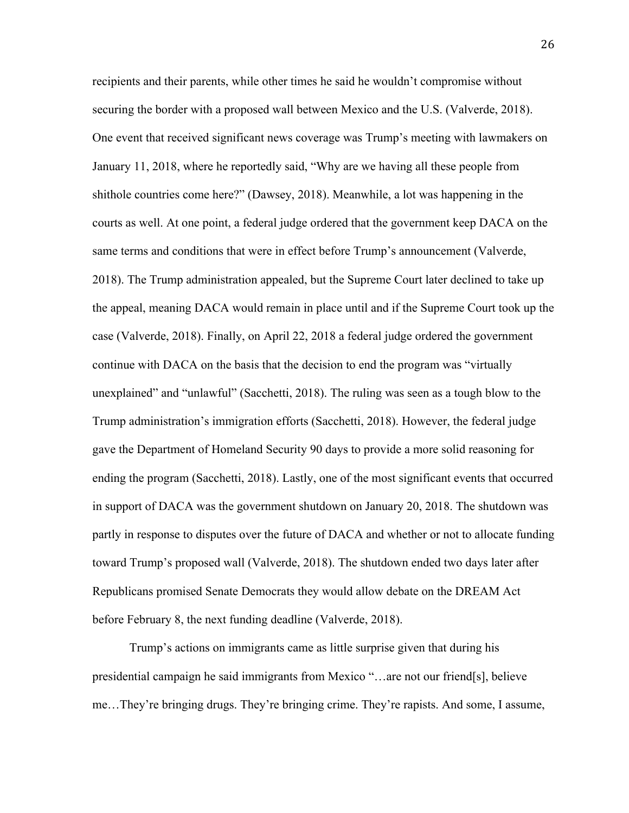recipients and their parents, while other times he said he wouldn't compromise without securing the border with a proposed wall between Mexico and the U.S. (Valverde, 2018). One event that received significant news coverage was Trump's meeting with lawmakers on January 11, 2018, where he reportedly said, "Why are we having all these people from shithole countries come here?" (Dawsey, 2018). Meanwhile, a lot was happening in the courts as well. At one point, a federal judge ordered that the government keep DACA on the same terms and conditions that were in effect before Trump's announcement (Valverde, 2018). The Trump administration appealed, but the Supreme Court later declined to take up the appeal, meaning DACA would remain in place until and if the Supreme Court took up the case (Valverde, 2018). Finally, on April 22, 2018 a federal judge ordered the government continue with DACA on the basis that the decision to end the program was "virtually unexplained" and "unlawful" (Sacchetti, 2018). The ruling was seen as a tough blow to the Trump administration's immigration efforts (Sacchetti, 2018). However, the federal judge gave the Department of Homeland Security 90 days to provide a more solid reasoning for ending the program (Sacchetti, 2018). Lastly, one of the most significant events that occurred in support of DACA was the government shutdown on January 20, 2018. The shutdown was partly in response to disputes over the future of DACA and whether or not to allocate funding toward Trump's proposed wall (Valverde, 2018). The shutdown ended two days later after Republicans promised Senate Democrats they would allow debate on the DREAM Act before February 8, the next funding deadline (Valverde, 2018).

Trump's actions on immigrants came as little surprise given that during his presidential campaign he said immigrants from Mexico "…are not our friend[s], believe me…They're bringing drugs. They're bringing crime. They're rapists. And some, I assume,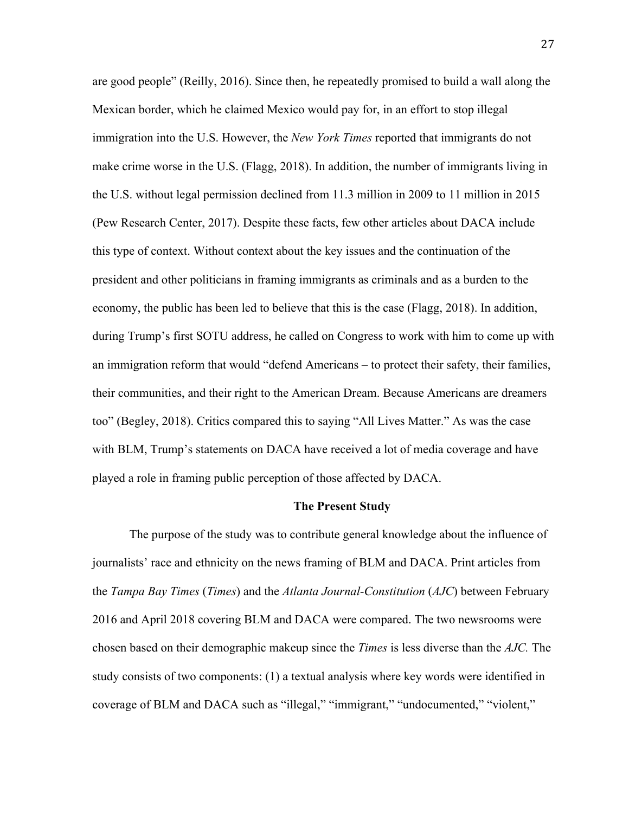are good people" (Reilly, 2016). Since then, he repeatedly promised to build a wall along the Mexican border, which he claimed Mexico would pay for, in an effort to stop illegal immigration into the U.S. However, the *New York Times* reported that immigrants do not make crime worse in the U.S. (Flagg, 2018). In addition, the number of immigrants living in the U.S. without legal permission declined from 11.3 million in 2009 to 11 million in 2015 (Pew Research Center, 2017). Despite these facts, few other articles about DACA include this type of context. Without context about the key issues and the continuation of the president and other politicians in framing immigrants as criminals and as a burden to the economy, the public has been led to believe that this is the case (Flagg, 2018). In addition, during Trump's first SOTU address, he called on Congress to work with him to come up with an immigration reform that would "defend Americans – to protect their safety, their families, their communities, and their right to the American Dream. Because Americans are dreamers too" (Begley, 2018). Critics compared this to saying "All Lives Matter." As was the case with BLM, Trump's statements on DACA have received a lot of media coverage and have played a role in framing public perception of those affected by DACA.

#### **The Present Study**

The purpose of the study was to contribute general knowledge about the influence of journalists' race and ethnicity on the news framing of BLM and DACA. Print articles from the *Tampa Bay Times* (*Times*) and the *Atlanta Journal-Constitution* (*AJC*) between February 2016 and April 2018 covering BLM and DACA were compared. The two newsrooms were chosen based on their demographic makeup since the *Times* is less diverse than the *AJC.* The study consists of two components: (1) a textual analysis where key words were identified in coverage of BLM and DACA such as "illegal," "immigrant," "undocumented," "violent,"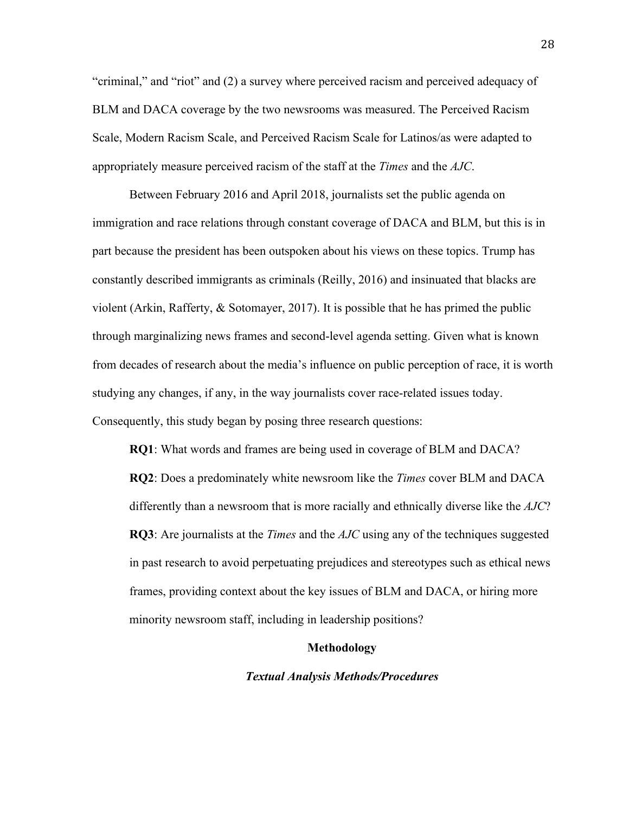"criminal," and "riot" and (2) a survey where perceived racism and perceived adequacy of BLM and DACA coverage by the two newsrooms was measured. The Perceived Racism Scale, Modern Racism Scale, and Perceived Racism Scale for Latinos/as were adapted to appropriately measure perceived racism of the staff at the *Times* and the *AJC*.

Between February 2016 and April 2018, journalists set the public agenda on immigration and race relations through constant coverage of DACA and BLM, but this is in part because the president has been outspoken about his views on these topics. Trump has constantly described immigrants as criminals (Reilly, 2016) and insinuated that blacks are violent (Arkin, Rafferty, & Sotomayer, 2017). It is possible that he has primed the public through marginalizing news frames and second-level agenda setting. Given what is known from decades of research about the media's influence on public perception of race, it is worth studying any changes, if any, in the way journalists cover race-related issues today. Consequently, this study began by posing three research questions:

**RQ1**: What words and frames are being used in coverage of BLM and DACA? **RQ2**: Does a predominately white newsroom like the *Times* cover BLM and DACA differently than a newsroom that is more racially and ethnically diverse like the *AJC*? **RQ3**: Are journalists at the *Times* and the *AJC* using any of the techniques suggested in past research to avoid perpetuating prejudices and stereotypes such as ethical news frames, providing context about the key issues of BLM and DACA, or hiring more minority newsroom staff, including in leadership positions?

#### **Methodology**

#### *Textual Analysis Methods/Procedures*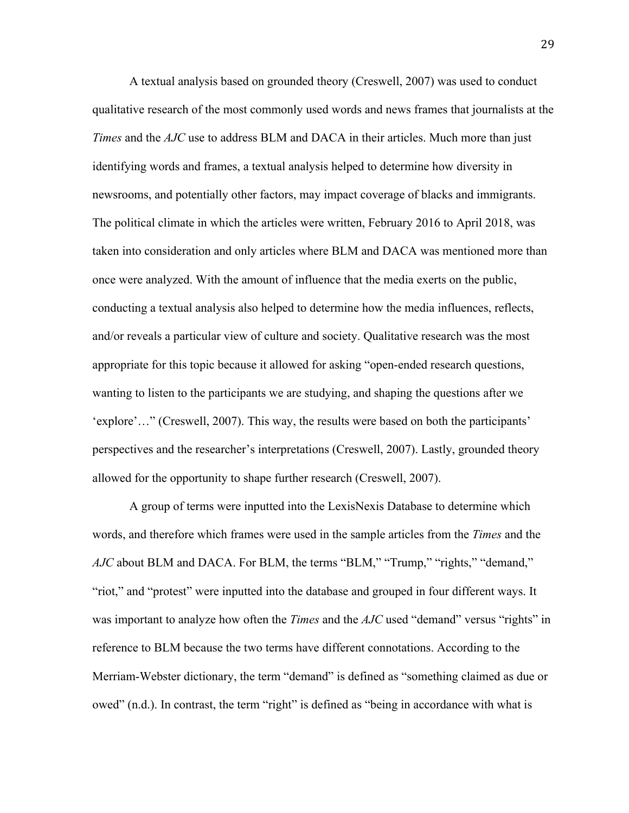A textual analysis based on grounded theory (Creswell, 2007) was used to conduct qualitative research of the most commonly used words and news frames that journalists at the *Times* and the *AJC* use to address BLM and DACA in their articles. Much more than just identifying words and frames, a textual analysis helped to determine how diversity in newsrooms, and potentially other factors, may impact coverage of blacks and immigrants. The political climate in which the articles were written, February 2016 to April 2018, was taken into consideration and only articles where BLM and DACA was mentioned more than once were analyzed. With the amount of influence that the media exerts on the public, conducting a textual analysis also helped to determine how the media influences, reflects, and/or reveals a particular view of culture and society. Qualitative research was the most appropriate for this topic because it allowed for asking "open-ended research questions, wanting to listen to the participants we are studying, and shaping the questions after we 'explore'…" (Creswell, 2007). This way, the results were based on both the participants' perspectives and the researcher's interpretations (Creswell, 2007). Lastly, grounded theory allowed for the opportunity to shape further research (Creswell, 2007).

A group of terms were inputted into the LexisNexis Database to determine which words, and therefore which frames were used in the sample articles from the *Times* and the *AJC* about BLM and DACA. For BLM, the terms "BLM," "Trump," "rights," "demand," "riot," and "protest" were inputted into the database and grouped in four different ways. It was important to analyze how often the *Times* and the *AJC* used "demand" versus "rights" in reference to BLM because the two terms have different connotations. According to the Merriam-Webster dictionary, the term "demand" is defined as "something claimed as due or owed" (n.d.). In contrast, the term "right" is defined as "being in accordance with what is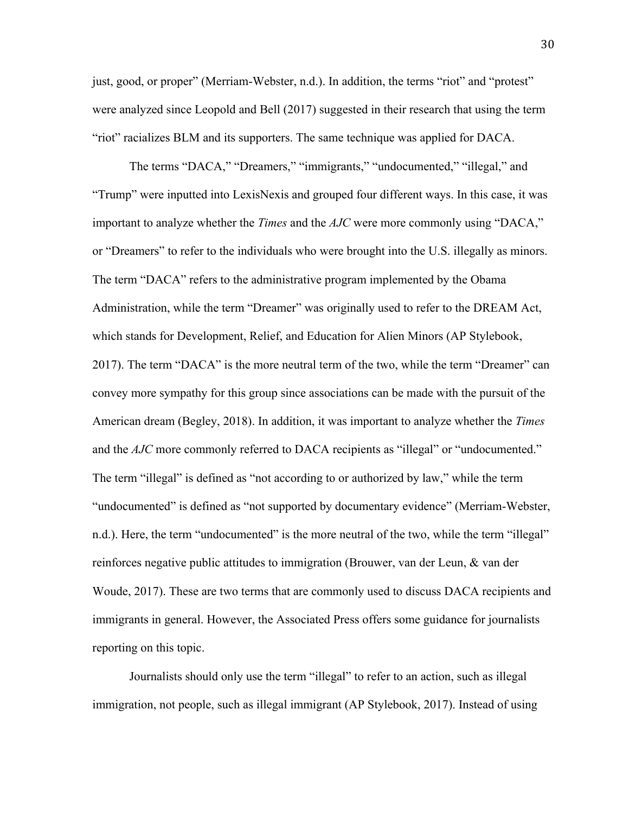just, good, or proper" (Merriam-Webster, n.d.). In addition, the terms "riot" and "protest" were analyzed since Leopold and Bell (2017) suggested in their research that using the term "riot" racializes BLM and its supporters. The same technique was applied for DACA.

The terms "DACA," "Dreamers," "immigrants," "undocumented," "illegal," and "Trump" were inputted into LexisNexis and grouped four different ways. In this case, it was important to analyze whether the *Times* and the *AJC* were more commonly using "DACA," or "Dreamers" to refer to the individuals who were brought into the U.S. illegally as minors. The term "DACA" refers to the administrative program implemented by the Obama Administration, while the term "Dreamer" was originally used to refer to the DREAM Act, which stands for Development, Relief, and Education for Alien Minors (AP Stylebook, 2017). The term "DACA" is the more neutral term of the two, while the term "Dreamer" can convey more sympathy for this group since associations can be made with the pursuit of the American dream (Begley, 2018). In addition, it was important to analyze whether the *Times*  and the *AJC* more commonly referred to DACA recipients as "illegal" or "undocumented." The term "illegal" is defined as "not according to or authorized by law," while the term "undocumented" is defined as "not supported by documentary evidence" (Merriam-Webster, n.d.). Here, the term "undocumented" is the more neutral of the two, while the term "illegal" reinforces negative public attitudes to immigration (Brouwer, van der Leun, & van der Woude, 2017). These are two terms that are commonly used to discuss DACA recipients and immigrants in general. However, the Associated Press offers some guidance for journalists reporting on this topic.

Journalists should only use the term "illegal" to refer to an action, such as illegal immigration, not people, such as illegal immigrant (AP Stylebook, 2017). Instead of using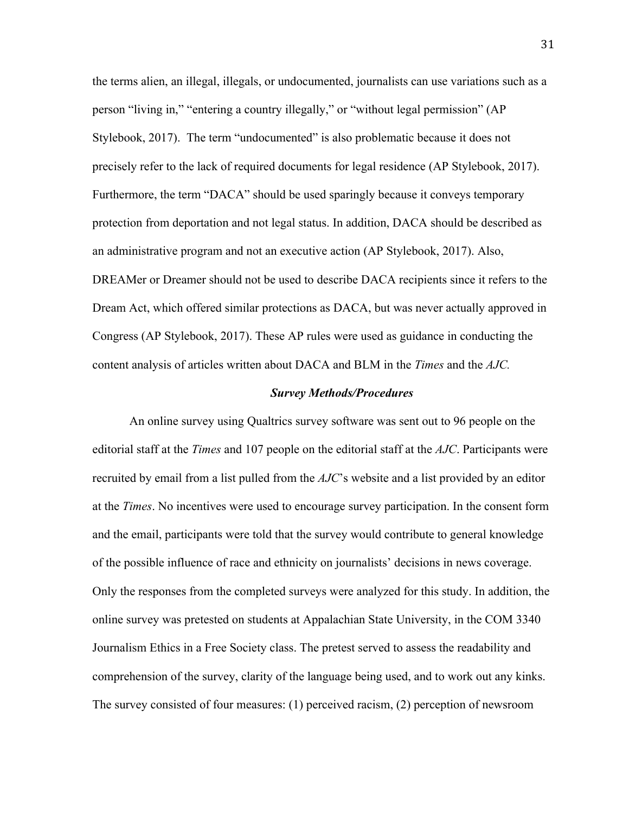the terms alien, an illegal, illegals, or undocumented, journalists can use variations such as a person "living in," "entering a country illegally," or "without legal permission" (AP Stylebook, 2017). The term "undocumented" is also problematic because it does not precisely refer to the lack of required documents for legal residence (AP Stylebook, 2017). Furthermore, the term "DACA" should be used sparingly because it conveys temporary protection from deportation and not legal status. In addition, DACA should be described as an administrative program and not an executive action (AP Stylebook, 2017). Also, DREAMer or Dreamer should not be used to describe DACA recipients since it refers to the Dream Act, which offered similar protections as DACA, but was never actually approved in Congress (AP Stylebook, 2017). These AP rules were used as guidance in conducting the content analysis of articles written about DACA and BLM in the *Times* and the *AJC.* 

#### *Survey Methods/Procedures*

An online survey using Qualtrics survey software was sent out to 96 people on the editorial staff at the *Times* and 107 people on the editorial staff at the *AJC*. Participants were recruited by email from a list pulled from the *AJC*'s website and a list provided by an editor at the *Times*. No incentives were used to encourage survey participation. In the consent form and the email, participants were told that the survey would contribute to general knowledge of the possible influence of race and ethnicity on journalists' decisions in news coverage. Only the responses from the completed surveys were analyzed for this study. In addition, the online survey was pretested on students at Appalachian State University, in the COM 3340 Journalism Ethics in a Free Society class. The pretest served to assess the readability and comprehension of the survey, clarity of the language being used, and to work out any kinks. The survey consisted of four measures: (1) perceived racism, (2) perception of newsroom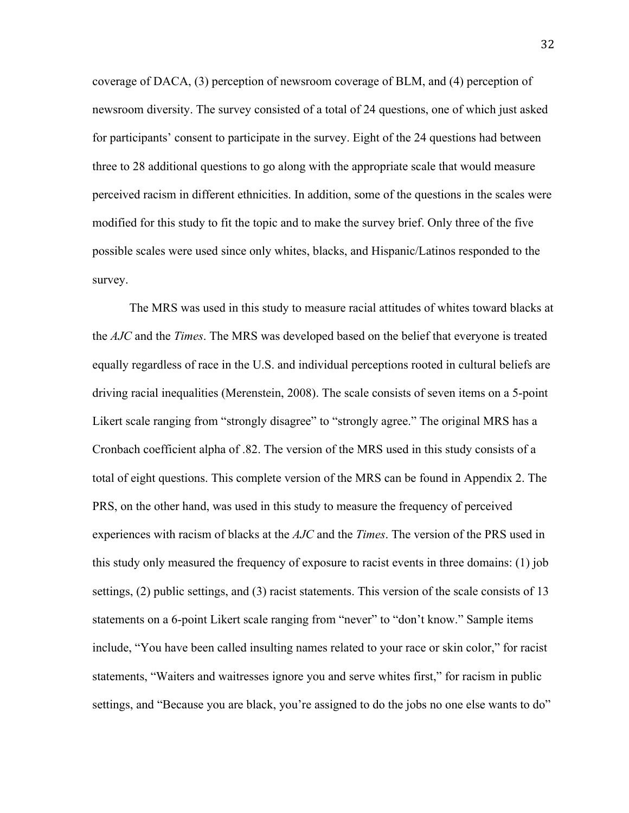coverage of DACA, (3) perception of newsroom coverage of BLM, and (4) perception of newsroom diversity. The survey consisted of a total of 24 questions, one of which just asked for participants' consent to participate in the survey. Eight of the 24 questions had between three to 28 additional questions to go along with the appropriate scale that would measure perceived racism in different ethnicities. In addition, some of the questions in the scales were modified for this study to fit the topic and to make the survey brief. Only three of the five possible scales were used since only whites, blacks, and Hispanic/Latinos responded to the survey.

The MRS was used in this study to measure racial attitudes of whites toward blacks at the *AJC* and the *Times*. The MRS was developed based on the belief that everyone is treated equally regardless of race in the U.S. and individual perceptions rooted in cultural beliefs are driving racial inequalities (Merenstein, 2008). The scale consists of seven items on a 5-point Likert scale ranging from "strongly disagree" to "strongly agree." The original MRS has a Cronbach coefficient alpha of .82. The version of the MRS used in this study consists of a total of eight questions. This complete version of the MRS can be found in Appendix 2. The PRS, on the other hand, was used in this study to measure the frequency of perceived experiences with racism of blacks at the *AJC* and the *Times*. The version of the PRS used in this study only measured the frequency of exposure to racist events in three domains: (1) job settings, (2) public settings, and (3) racist statements. This version of the scale consists of 13 statements on a 6-point Likert scale ranging from "never" to "don't know." Sample items include, "You have been called insulting names related to your race or skin color," for racist statements, "Waiters and waitresses ignore you and serve whites first," for racism in public settings, and "Because you are black, you're assigned to do the jobs no one else wants to do"

32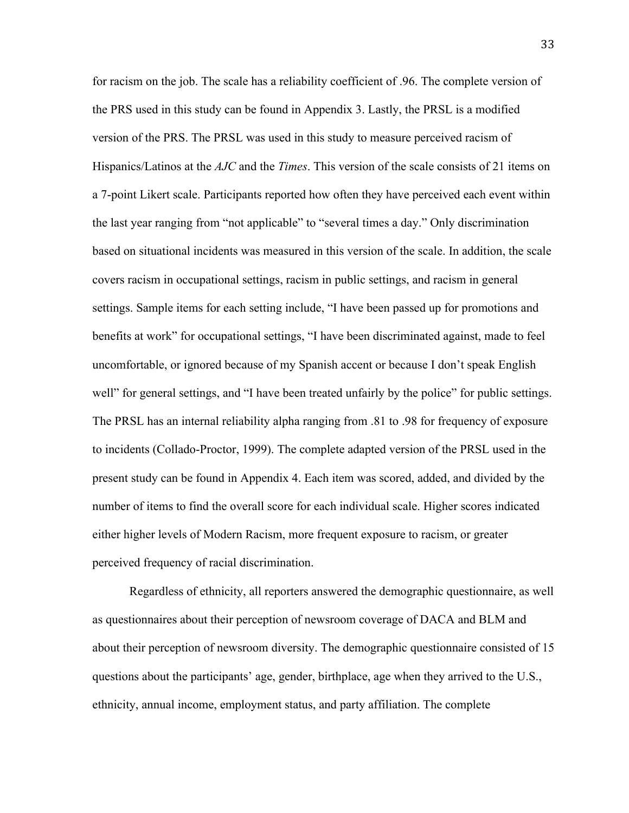for racism on the job. The scale has a reliability coefficient of .96. The complete version of the PRS used in this study can be found in Appendix 3. Lastly, the PRSL is a modified version of the PRS. The PRSL was used in this study to measure perceived racism of Hispanics/Latinos at the *AJC* and the *Times*. This version of the scale consists of 21 items on a 7-point Likert scale. Participants reported how often they have perceived each event within the last year ranging from "not applicable" to "several times a day." Only discrimination based on situational incidents was measured in this version of the scale. In addition, the scale covers racism in occupational settings, racism in public settings, and racism in general settings. Sample items for each setting include, "I have been passed up for promotions and benefits at work" for occupational settings, "I have been discriminated against, made to feel uncomfortable, or ignored because of my Spanish accent or because I don't speak English well" for general settings, and "I have been treated unfairly by the police" for public settings. The PRSL has an internal reliability alpha ranging from .81 to .98 for frequency of exposure to incidents (Collado-Proctor, 1999). The complete adapted version of the PRSL used in the present study can be found in Appendix 4. Each item was scored, added, and divided by the number of items to find the overall score for each individual scale. Higher scores indicated either higher levels of Modern Racism, more frequent exposure to racism, or greater perceived frequency of racial discrimination.

Regardless of ethnicity, all reporters answered the demographic questionnaire, as well as questionnaires about their perception of newsroom coverage of DACA and BLM and about their perception of newsroom diversity. The demographic questionnaire consisted of 15 questions about the participants' age, gender, birthplace, age when they arrived to the U.S., ethnicity, annual income, employment status, and party affiliation. The complete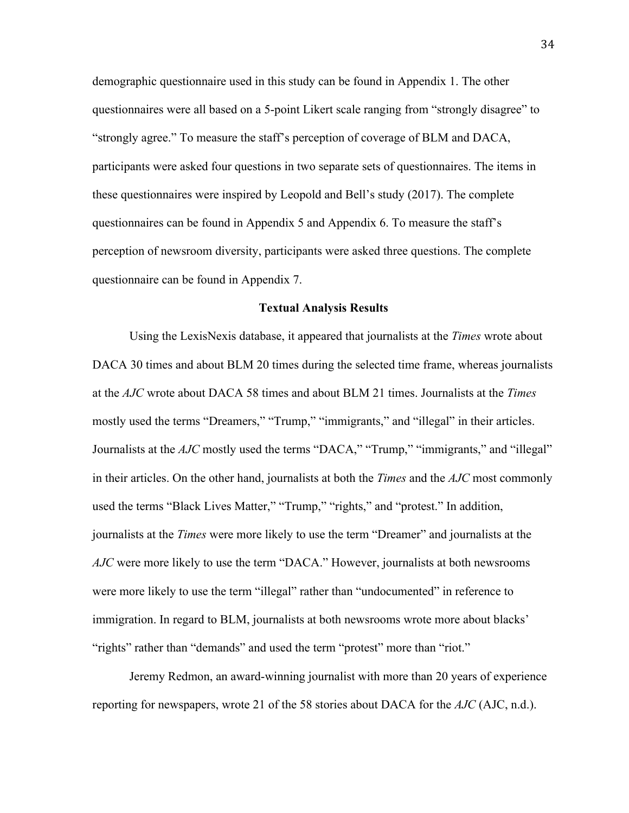demographic questionnaire used in this study can be found in Appendix 1. The other questionnaires were all based on a 5-point Likert scale ranging from "strongly disagree" to "strongly agree." To measure the staff's perception of coverage of BLM and DACA, participants were asked four questions in two separate sets of questionnaires. The items in these questionnaires were inspired by Leopold and Bell's study (2017). The complete questionnaires can be found in Appendix 5 and Appendix 6. To measure the staff's perception of newsroom diversity, participants were asked three questions. The complete questionnaire can be found in Appendix 7.

#### **Textual Analysis Results**

Using the LexisNexis database, it appeared that journalists at the *Times* wrote about DACA 30 times and about BLM 20 times during the selected time frame, whereas journalists at the *AJC* wrote about DACA 58 times and about BLM 21 times. Journalists at the *Times*  mostly used the terms "Dreamers," "Trump," "immigrants," and "illegal" in their articles. Journalists at the *AJC* mostly used the terms "DACA," "Trump," "immigrants," and "illegal" in their articles. On the other hand, journalists at both the *Times* and the *AJC* most commonly used the terms "Black Lives Matter," "Trump," "rights," and "protest." In addition, journalists at the *Times* were more likely to use the term "Dreamer" and journalists at the *AJC* were more likely to use the term "DACA." However, journalists at both newsrooms were more likely to use the term "illegal" rather than "undocumented" in reference to immigration. In regard to BLM, journalists at both newsrooms wrote more about blacks' "rights" rather than "demands" and used the term "protest" more than "riot."

Jeremy Redmon, an award-winning journalist with more than 20 years of experience reporting for newspapers, wrote 21 of the 58 stories about DACA for the *AJC* (AJC, n.d.).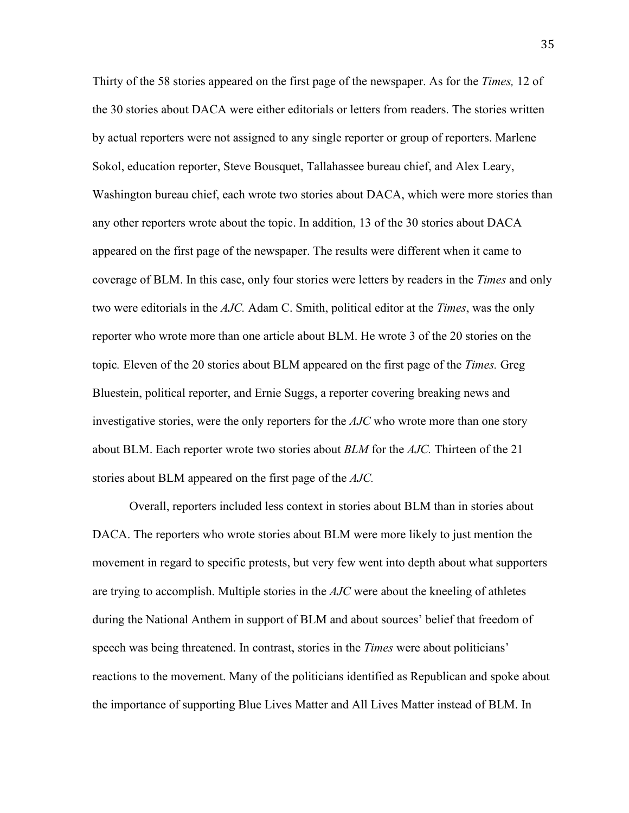Thirty of the 58 stories appeared on the first page of the newspaper. As for the *Times,* 12 of the 30 stories about DACA were either editorials or letters from readers. The stories written by actual reporters were not assigned to any single reporter or group of reporters. Marlene Sokol, education reporter, Steve Bousquet, Tallahassee bureau chief, and Alex Leary, Washington bureau chief, each wrote two stories about DACA, which were more stories than any other reporters wrote about the topic. In addition, 13 of the 30 stories about DACA appeared on the first page of the newspaper. The results were different when it came to coverage of BLM. In this case, only four stories were letters by readers in the *Times* and only two were editorials in the *AJC.* Adam C. Smith, political editor at the *Times*, was the only reporter who wrote more than one article about BLM. He wrote 3 of the 20 stories on the topic*.* Eleven of the 20 stories about BLM appeared on the first page of the *Times.* Greg Bluestein, political reporter, and Ernie Suggs, a reporter covering breaking news and investigative stories, were the only reporters for the *AJC* who wrote more than one story about BLM. Each reporter wrote two stories about *BLM* for the *AJC.* Thirteen of the 21 stories about BLM appeared on the first page of the *AJC.* 

Overall, reporters included less context in stories about BLM than in stories about DACA. The reporters who wrote stories about BLM were more likely to just mention the movement in regard to specific protests, but very few went into depth about what supporters are trying to accomplish. Multiple stories in the *AJC* were about the kneeling of athletes during the National Anthem in support of BLM and about sources' belief that freedom of speech was being threatened. In contrast, stories in the *Times* were about politicians' reactions to the movement. Many of the politicians identified as Republican and spoke about the importance of supporting Blue Lives Matter and All Lives Matter instead of BLM. In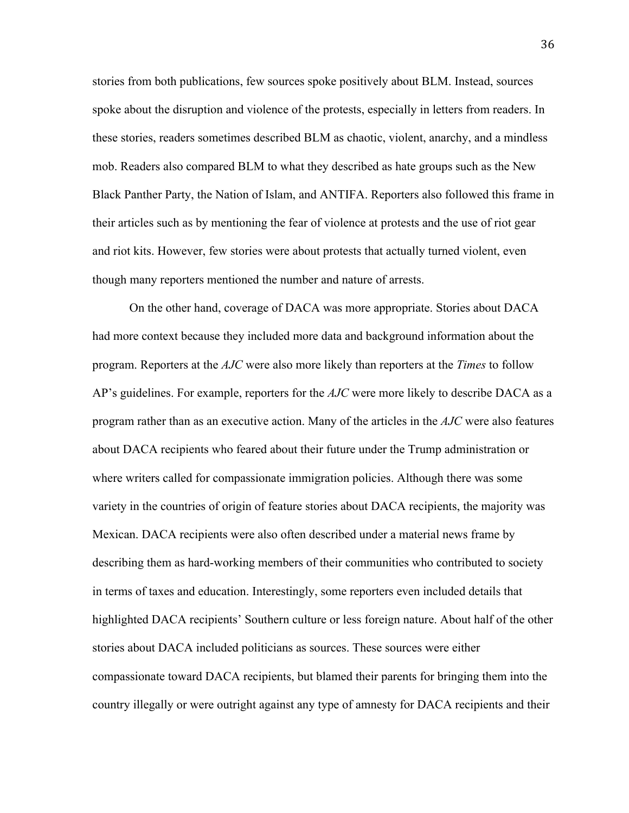stories from both publications, few sources spoke positively about BLM. Instead, sources spoke about the disruption and violence of the protests, especially in letters from readers. In these stories, readers sometimes described BLM as chaotic, violent, anarchy, and a mindless mob. Readers also compared BLM to what they described as hate groups such as the New Black Panther Party, the Nation of Islam, and ANTIFA. Reporters also followed this frame in their articles such as by mentioning the fear of violence at protests and the use of riot gear and riot kits. However, few stories were about protests that actually turned violent, even though many reporters mentioned the number and nature of arrests.

On the other hand, coverage of DACA was more appropriate. Stories about DACA had more context because they included more data and background information about the program. Reporters at the *AJC* were also more likely than reporters at the *Times* to follow AP's guidelines. For example, reporters for the *AJC* were more likely to describe DACA as a program rather than as an executive action. Many of the articles in the *AJC* were also features about DACA recipients who feared about their future under the Trump administration or where writers called for compassionate immigration policies. Although there was some variety in the countries of origin of feature stories about DACA recipients, the majority was Mexican. DACA recipients were also often described under a material news frame by describing them as hard-working members of their communities who contributed to society in terms of taxes and education. Interestingly, some reporters even included details that highlighted DACA recipients' Southern culture or less foreign nature. About half of the other stories about DACA included politicians as sources. These sources were either compassionate toward DACA recipients, but blamed their parents for bringing them into the country illegally or were outright against any type of amnesty for DACA recipients and their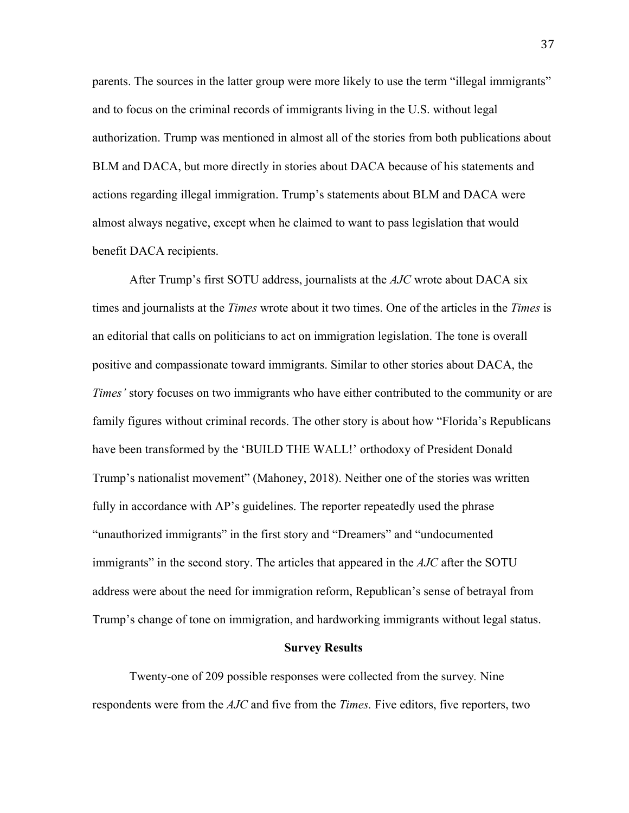parents. The sources in the latter group were more likely to use the term "illegal immigrants" and to focus on the criminal records of immigrants living in the U.S. without legal authorization. Trump was mentioned in almost all of the stories from both publications about BLM and DACA, but more directly in stories about DACA because of his statements and actions regarding illegal immigration. Trump's statements about BLM and DACA were almost always negative, except when he claimed to want to pass legislation that would benefit DACA recipients.

After Trump's first SOTU address, journalists at the *AJC* wrote about DACA six times and journalists at the *Times* wrote about it two times. One of the articles in the *Times* is an editorial that calls on politicians to act on immigration legislation. The tone is overall positive and compassionate toward immigrants. Similar to other stories about DACA, the *Times'* story focuses on two immigrants who have either contributed to the community or are family figures without criminal records. The other story is about how "Florida's Republicans have been transformed by the 'BUILD THE WALL!' orthodoxy of President Donald Trump's nationalist movement" (Mahoney, 2018). Neither one of the stories was written fully in accordance with AP's guidelines. The reporter repeatedly used the phrase "unauthorized immigrants" in the first story and "Dreamers" and "undocumented immigrants" in the second story. The articles that appeared in the *AJC* after the SOTU address were about the need for immigration reform, Republican's sense of betrayal from Trump's change of tone on immigration, and hardworking immigrants without legal status.

#### **Survey Results**

Twenty-one of 209 possible responses were collected from the survey*.* Nine respondents were from the *AJC* and five from the *Times.* Five editors, five reporters, two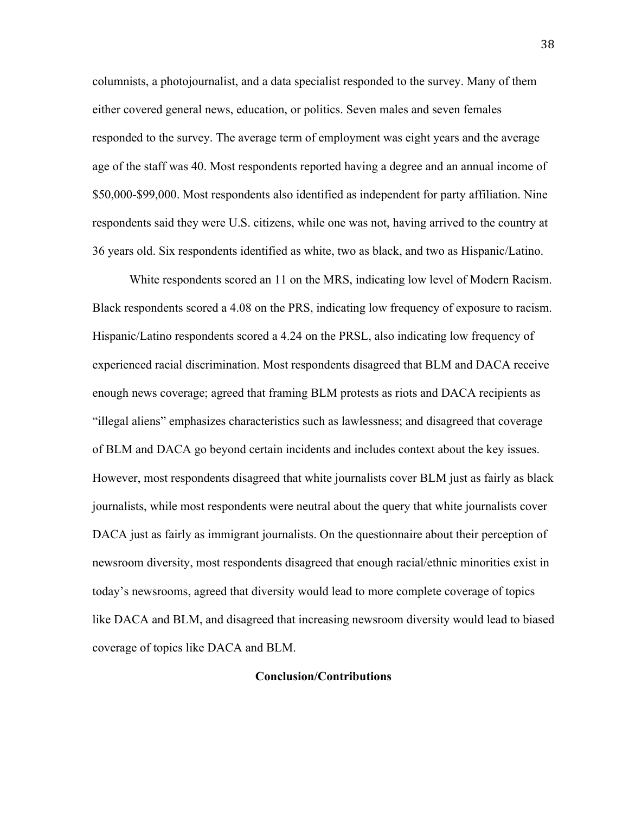columnists, a photojournalist, and a data specialist responded to the survey. Many of them either covered general news, education, or politics. Seven males and seven females responded to the survey. The average term of employment was eight years and the average age of the staff was 40. Most respondents reported having a degree and an annual income of \$50,000-\$99,000. Most respondents also identified as independent for party affiliation. Nine respondents said they were U.S. citizens, while one was not, having arrived to the country at 36 years old. Six respondents identified as white, two as black, and two as Hispanic/Latino.

White respondents scored an 11 on the MRS, indicating low level of Modern Racism. Black respondents scored a 4.08 on the PRS, indicating low frequency of exposure to racism. Hispanic/Latino respondents scored a 4.24 on the PRSL, also indicating low frequency of experienced racial discrimination. Most respondents disagreed that BLM and DACA receive enough news coverage; agreed that framing BLM protests as riots and DACA recipients as "illegal aliens" emphasizes characteristics such as lawlessness; and disagreed that coverage of BLM and DACA go beyond certain incidents and includes context about the key issues. However, most respondents disagreed that white journalists cover BLM just as fairly as black journalists, while most respondents were neutral about the query that white journalists cover DACA just as fairly as immigrant journalists. On the questionnaire about their perception of newsroom diversity, most respondents disagreed that enough racial/ethnic minorities exist in today's newsrooms, agreed that diversity would lead to more complete coverage of topics like DACA and BLM, and disagreed that increasing newsroom diversity would lead to biased coverage of topics like DACA and BLM.

#### **Conclusion/Contributions**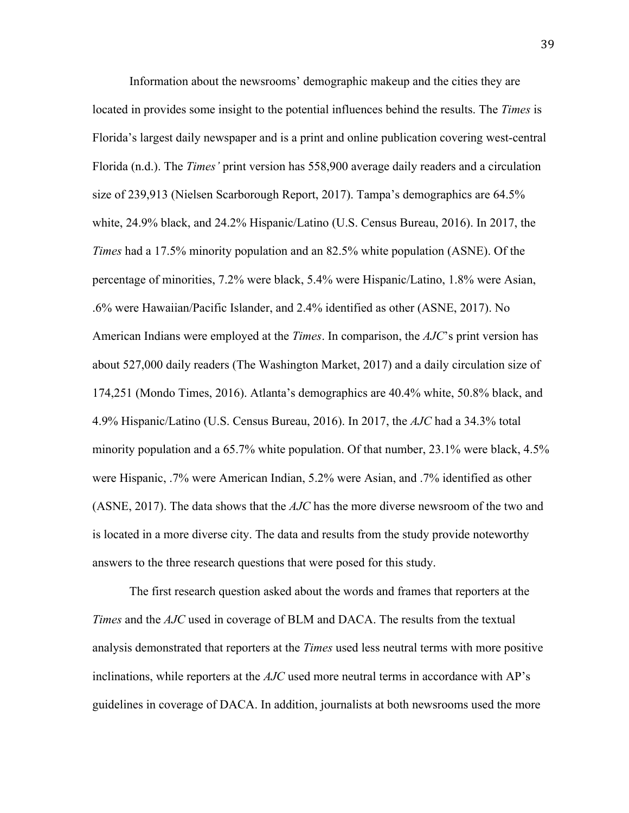Information about the newsrooms' demographic makeup and the cities they are located in provides some insight to the potential influences behind the results. The *Times* is Florida's largest daily newspaper and is a print and online publication covering west-central Florida (n.d.). The *Times'* print version has 558,900 average daily readers and a circulation size of 239,913 (Nielsen Scarborough Report, 2017). Tampa's demographics are 64.5% white, 24.9% black, and 24.2% Hispanic/Latino (U.S. Census Bureau, 2016). In 2017, the *Times* had a 17.5% minority population and an 82.5% white population (ASNE). Of the percentage of minorities, 7.2% were black, 5.4% were Hispanic/Latino, 1.8% were Asian, .6% were Hawaiian/Pacific Islander, and 2.4% identified as other (ASNE, 2017). No American Indians were employed at the *Times*. In comparison, the *AJC*'s print version has about 527,000 daily readers (The Washington Market, 2017) and a daily circulation size of 174,251 (Mondo Times, 2016). Atlanta's demographics are 40.4% white, 50.8% black, and 4.9% Hispanic/Latino (U.S. Census Bureau, 2016). In 2017, the *AJC* had a 34.3% total minority population and a 65.7% white population. Of that number, 23.1% were black, 4.5% were Hispanic, .7% were American Indian, 5.2% were Asian, and .7% identified as other (ASNE, 2017). The data shows that the *AJC* has the more diverse newsroom of the two and is located in a more diverse city. The data and results from the study provide noteworthy answers to the three research questions that were posed for this study.

The first research question asked about the words and frames that reporters at the *Times* and the *AJC* used in coverage of BLM and DACA. The results from the textual analysis demonstrated that reporters at the *Times* used less neutral terms with more positive inclinations, while reporters at the *AJC* used more neutral terms in accordance with AP's guidelines in coverage of DACA. In addition, journalists at both newsrooms used the more

39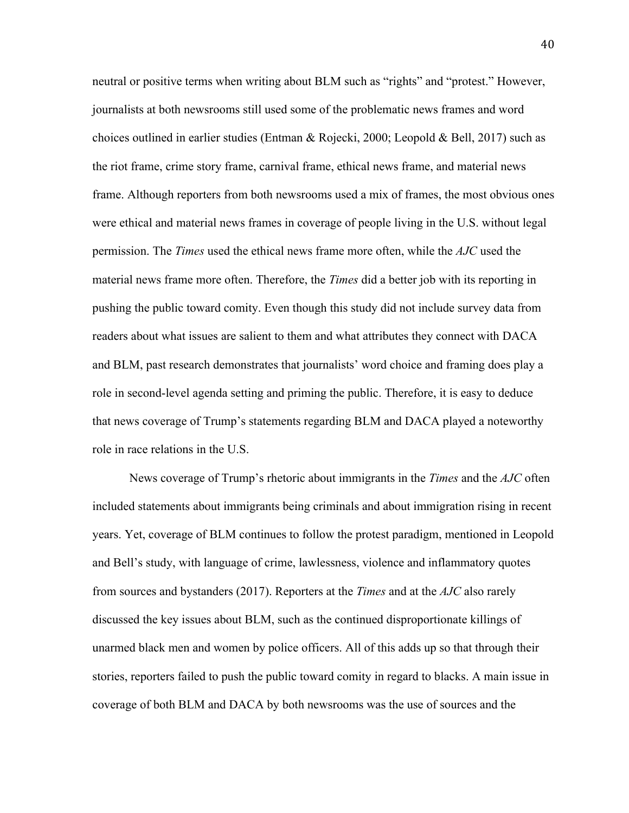neutral or positive terms when writing about BLM such as "rights" and "protest." However, journalists at both newsrooms still used some of the problematic news frames and word choices outlined in earlier studies (Entman & Rojecki, 2000; Leopold & Bell, 2017) such as the riot frame, crime story frame, carnival frame, ethical news frame, and material news frame. Although reporters from both newsrooms used a mix of frames, the most obvious ones were ethical and material news frames in coverage of people living in the U.S. without legal permission. The *Times* used the ethical news frame more often, while the *AJC* used the material news frame more often. Therefore, the *Times* did a better job with its reporting in pushing the public toward comity. Even though this study did not include survey data from readers about what issues are salient to them and what attributes they connect with DACA and BLM, past research demonstrates that journalists' word choice and framing does play a role in second-level agenda setting and priming the public. Therefore, it is easy to deduce that news coverage of Trump's statements regarding BLM and DACA played a noteworthy role in race relations in the U.S.

News coverage of Trump's rhetoric about immigrants in the *Times* and the *AJC* often included statements about immigrants being criminals and about immigration rising in recent years. Yet, coverage of BLM continues to follow the protest paradigm, mentioned in Leopold and Bell's study, with language of crime, lawlessness, violence and inflammatory quotes from sources and bystanders (2017). Reporters at the *Times* and at the *AJC* also rarely discussed the key issues about BLM, such as the continued disproportionate killings of unarmed black men and women by police officers. All of this adds up so that through their stories, reporters failed to push the public toward comity in regard to blacks. A main issue in coverage of both BLM and DACA by both newsrooms was the use of sources and the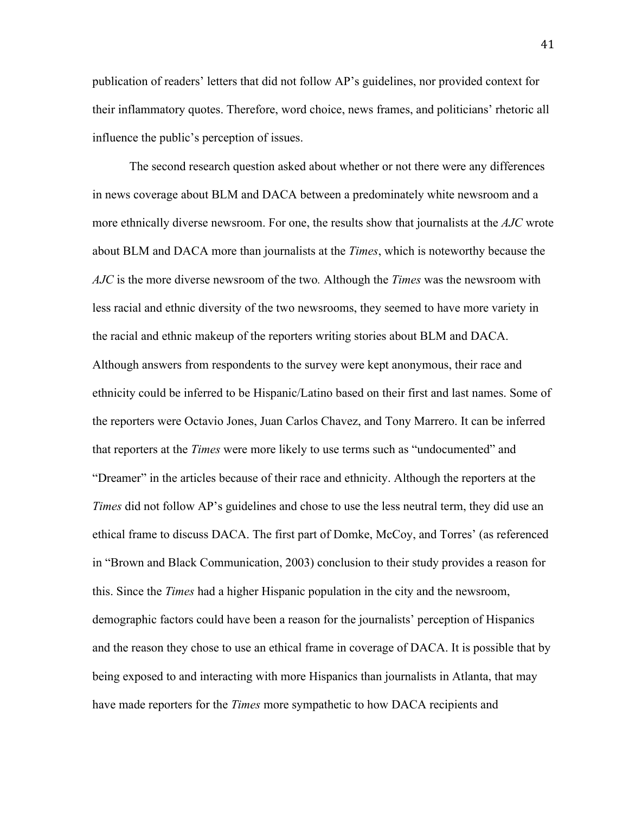publication of readers' letters that did not follow AP's guidelines, nor provided context for their inflammatory quotes. Therefore, word choice, news frames, and politicians' rhetoric all influence the public's perception of issues.

The second research question asked about whether or not there were any differences in news coverage about BLM and DACA between a predominately white newsroom and a more ethnically diverse newsroom. For one, the results show that journalists at the *AJC* wrote about BLM and DACA more than journalists at the *Times*, which is noteworthy because the *AJC* is the more diverse newsroom of the two*.* Although the *Times* was the newsroom with less racial and ethnic diversity of the two newsrooms, they seemed to have more variety in the racial and ethnic makeup of the reporters writing stories about BLM and DACA. Although answers from respondents to the survey were kept anonymous, their race and ethnicity could be inferred to be Hispanic/Latino based on their first and last names. Some of the reporters were Octavio Jones, Juan Carlos Chavez, and Tony Marrero. It can be inferred that reporters at the *Times* were more likely to use terms such as "undocumented" and "Dreamer" in the articles because of their race and ethnicity. Although the reporters at the *Times* did not follow AP's guidelines and chose to use the less neutral term, they did use an ethical frame to discuss DACA. The first part of Domke, McCoy, and Torres' (as referenced in "Brown and Black Communication, 2003) conclusion to their study provides a reason for this. Since the *Times* had a higher Hispanic population in the city and the newsroom, demographic factors could have been a reason for the journalists' perception of Hispanics and the reason they chose to use an ethical frame in coverage of DACA. It is possible that by being exposed to and interacting with more Hispanics than journalists in Atlanta, that may have made reporters for the *Times* more sympathetic to how DACA recipients and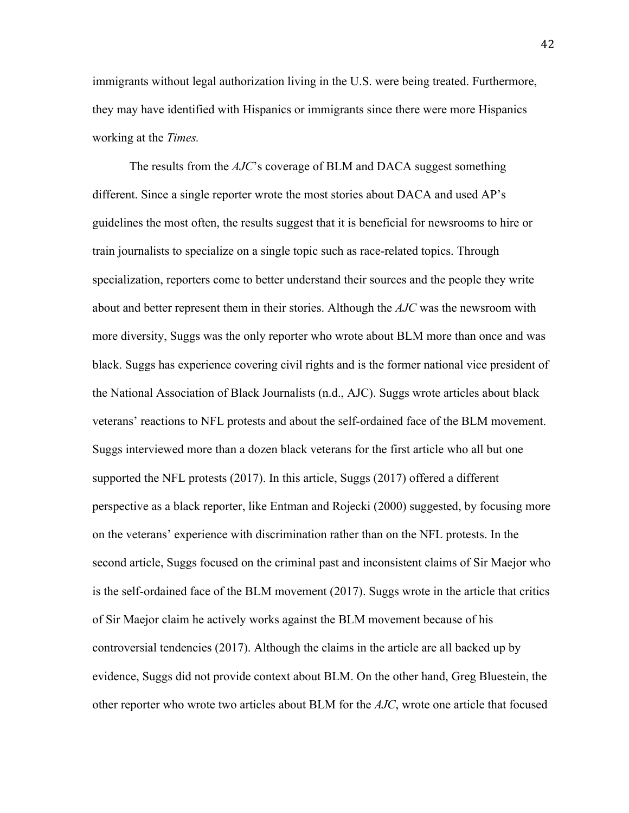immigrants without legal authorization living in the U.S. were being treated. Furthermore, they may have identified with Hispanics or immigrants since there were more Hispanics working at the *Times.*

The results from the *AJC*'s coverage of BLM and DACA suggest something different. Since a single reporter wrote the most stories about DACA and used AP's guidelines the most often, the results suggest that it is beneficial for newsrooms to hire or train journalists to specialize on a single topic such as race-related topics. Through specialization, reporters come to better understand their sources and the people they write about and better represent them in their stories. Although the *AJC* was the newsroom with more diversity, Suggs was the only reporter who wrote about BLM more than once and was black. Suggs has experience covering civil rights and is the former national vice president of the National Association of Black Journalists (n.d., AJC). Suggs wrote articles about black veterans' reactions to NFL protests and about the self-ordained face of the BLM movement. Suggs interviewed more than a dozen black veterans for the first article who all but one supported the NFL protests (2017). In this article, Suggs (2017) offered a different perspective as a black reporter, like Entman and Rojecki (2000) suggested, by focusing more on the veterans' experience with discrimination rather than on the NFL protests. In the second article, Suggs focused on the criminal past and inconsistent claims of Sir Maejor who is the self-ordained face of the BLM movement (2017). Suggs wrote in the article that critics of Sir Maejor claim he actively works against the BLM movement because of his controversial tendencies (2017). Although the claims in the article are all backed up by evidence, Suggs did not provide context about BLM. On the other hand, Greg Bluestein, the other reporter who wrote two articles about BLM for the *AJC*, wrote one article that focused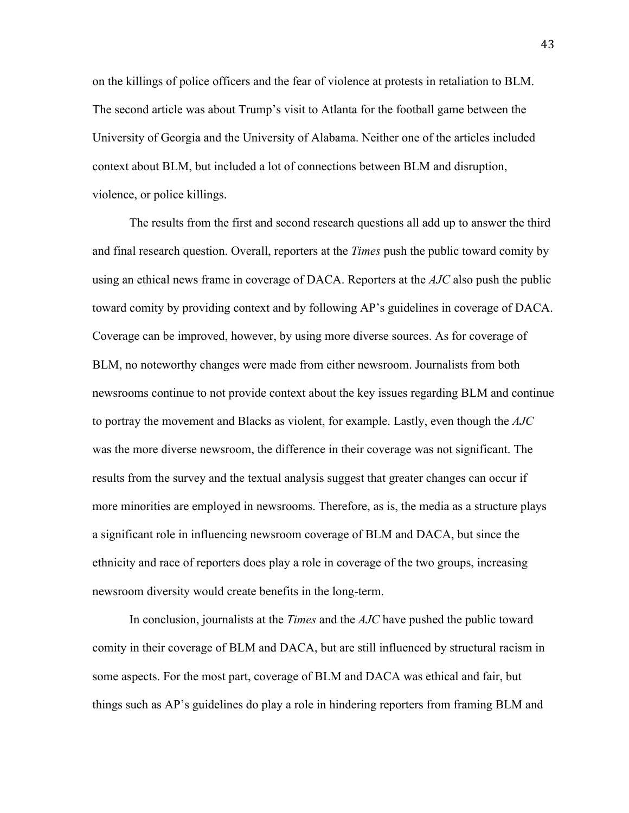on the killings of police officers and the fear of violence at protests in retaliation to BLM. The second article was about Trump's visit to Atlanta for the football game between the University of Georgia and the University of Alabama. Neither one of the articles included context about BLM, but included a lot of connections between BLM and disruption, violence, or police killings.

The results from the first and second research questions all add up to answer the third and final research question. Overall, reporters at the *Times* push the public toward comity by using an ethical news frame in coverage of DACA. Reporters at the *AJC* also push the public toward comity by providing context and by following AP's guidelines in coverage of DACA. Coverage can be improved, however, by using more diverse sources. As for coverage of BLM, no noteworthy changes were made from either newsroom. Journalists from both newsrooms continue to not provide context about the key issues regarding BLM and continue to portray the movement and Blacks as violent, for example. Lastly, even though the *AJC*  was the more diverse newsroom, the difference in their coverage was not significant. The results from the survey and the textual analysis suggest that greater changes can occur if more minorities are employed in newsrooms. Therefore, as is, the media as a structure plays a significant role in influencing newsroom coverage of BLM and DACA, but since the ethnicity and race of reporters does play a role in coverage of the two groups, increasing newsroom diversity would create benefits in the long-term.

In conclusion, journalists at the *Times* and the *AJC* have pushed the public toward comity in their coverage of BLM and DACA, but are still influenced by structural racism in some aspects. For the most part, coverage of BLM and DACA was ethical and fair, but things such as AP's guidelines do play a role in hindering reporters from framing BLM and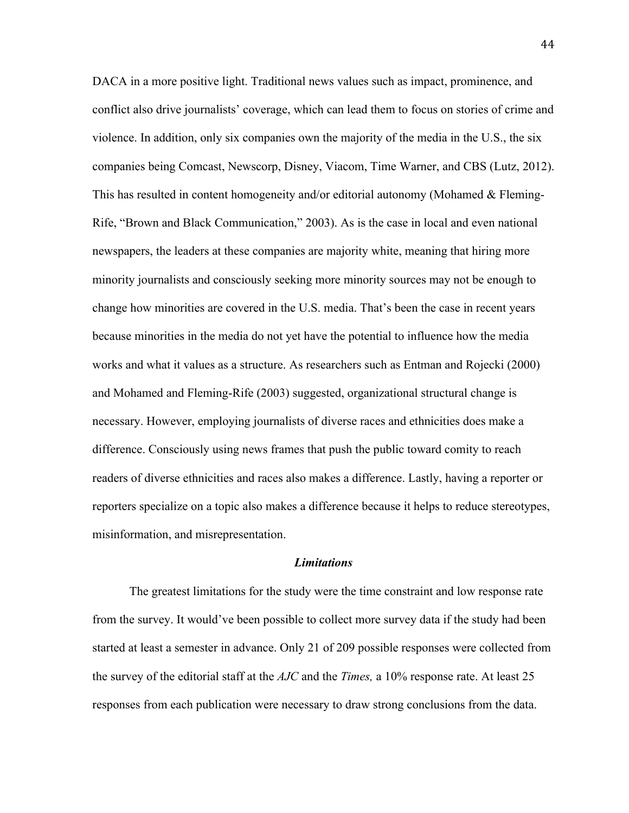DACA in a more positive light. Traditional news values such as impact, prominence, and conflict also drive journalists' coverage, which can lead them to focus on stories of crime and violence. In addition, only six companies own the majority of the media in the U.S., the six companies being Comcast, Newscorp, Disney, Viacom, Time Warner, and CBS (Lutz, 2012). This has resulted in content homogeneity and/or editorial autonomy (Mohamed  $\&$  Fleming-Rife, "Brown and Black Communication," 2003). As is the case in local and even national newspapers, the leaders at these companies are majority white, meaning that hiring more minority journalists and consciously seeking more minority sources may not be enough to change how minorities are covered in the U.S. media. That's been the case in recent years because minorities in the media do not yet have the potential to influence how the media works and what it values as a structure. As researchers such as Entman and Rojecki (2000) and Mohamed and Fleming-Rife (2003) suggested, organizational structural change is necessary. However, employing journalists of diverse races and ethnicities does make a difference. Consciously using news frames that push the public toward comity to reach readers of diverse ethnicities and races also makes a difference. Lastly, having a reporter or reporters specialize on a topic also makes a difference because it helps to reduce stereotypes, misinformation, and misrepresentation.

#### *Limitations*

The greatest limitations for the study were the time constraint and low response rate from the survey. It would've been possible to collect more survey data if the study had been started at least a semester in advance. Only 21 of 209 possible responses were collected from the survey of the editorial staff at the *AJC* and the *Times,* a 10% response rate. At least 25 responses from each publication were necessary to draw strong conclusions from the data.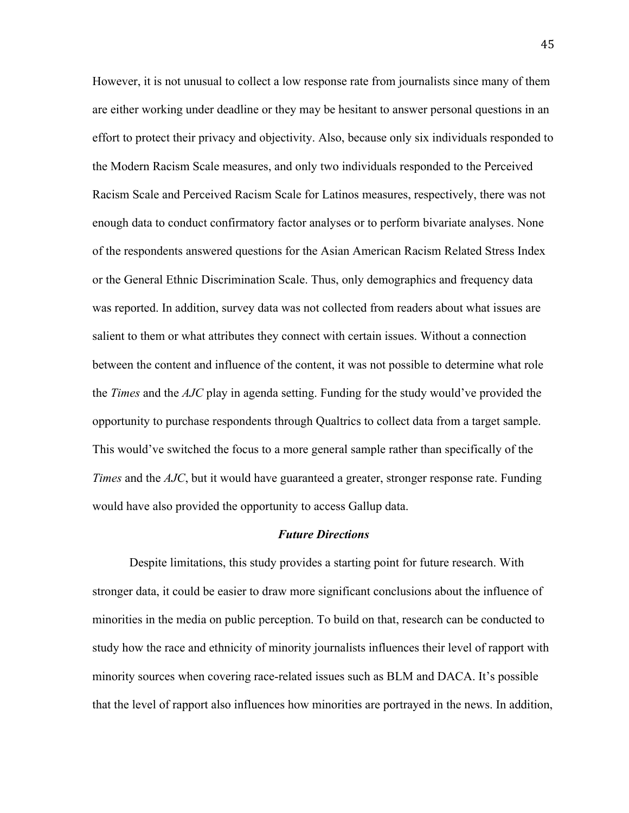However, it is not unusual to collect a low response rate from journalists since many of them are either working under deadline or they may be hesitant to answer personal questions in an effort to protect their privacy and objectivity. Also, because only six individuals responded to the Modern Racism Scale measures, and only two individuals responded to the Perceived Racism Scale and Perceived Racism Scale for Latinos measures, respectively, there was not enough data to conduct confirmatory factor analyses or to perform bivariate analyses. None of the respondents answered questions for the Asian American Racism Related Stress Index or the General Ethnic Discrimination Scale. Thus, only demographics and frequency data was reported. In addition, survey data was not collected from readers about what issues are salient to them or what attributes they connect with certain issues. Without a connection between the content and influence of the content, it was not possible to determine what role the *Times* and the *AJC* play in agenda setting. Funding for the study would've provided the opportunity to purchase respondents through Qualtrics to collect data from a target sample. This would've switched the focus to a more general sample rather than specifically of the *Times* and the *AJC*, but it would have guaranteed a greater, stronger response rate. Funding would have also provided the opportunity to access Gallup data.

#### *Future Directions*

Despite limitations, this study provides a starting point for future research. With stronger data, it could be easier to draw more significant conclusions about the influence of minorities in the media on public perception. To build on that, research can be conducted to study how the race and ethnicity of minority journalists influences their level of rapport with minority sources when covering race-related issues such as BLM and DACA. It's possible that the level of rapport also influences how minorities are portrayed in the news. In addition,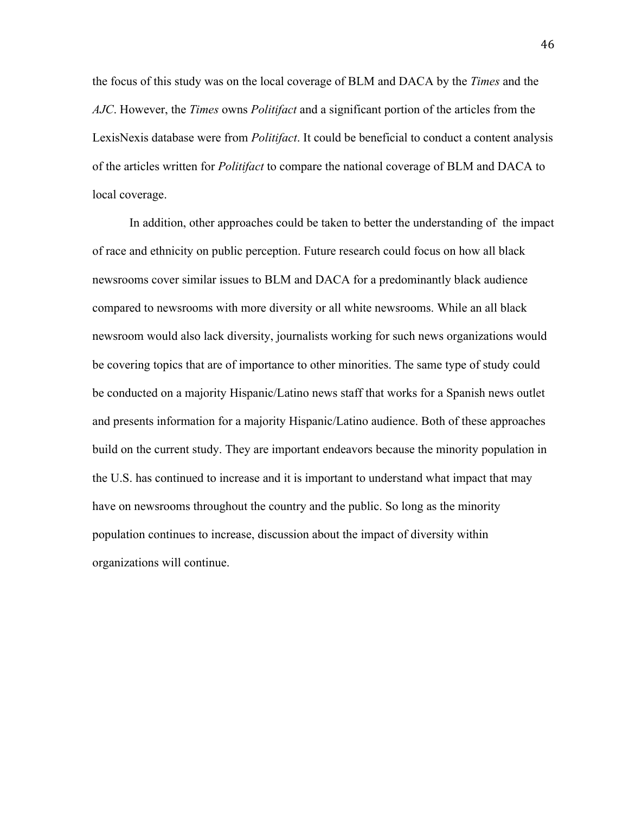the focus of this study was on the local coverage of BLM and DACA by the *Times* and the *AJC*. However, the *Times* owns *Politifact* and a significant portion of the articles from the LexisNexis database were from *Politifact*. It could be beneficial to conduct a content analysis of the articles written for *Politifact* to compare the national coverage of BLM and DACA to local coverage.

In addition, other approaches could be taken to better the understanding of the impact of race and ethnicity on public perception. Future research could focus on how all black newsrooms cover similar issues to BLM and DACA for a predominantly black audience compared to newsrooms with more diversity or all white newsrooms. While an all black newsroom would also lack diversity, journalists working for such news organizations would be covering topics that are of importance to other minorities. The same type of study could be conducted on a majority Hispanic/Latino news staff that works for a Spanish news outlet and presents information for a majority Hispanic/Latino audience. Both of these approaches build on the current study. They are important endeavors because the minority population in the U.S. has continued to increase and it is important to understand what impact that may have on newsrooms throughout the country and the public. So long as the minority population continues to increase, discussion about the impact of diversity within organizations will continue.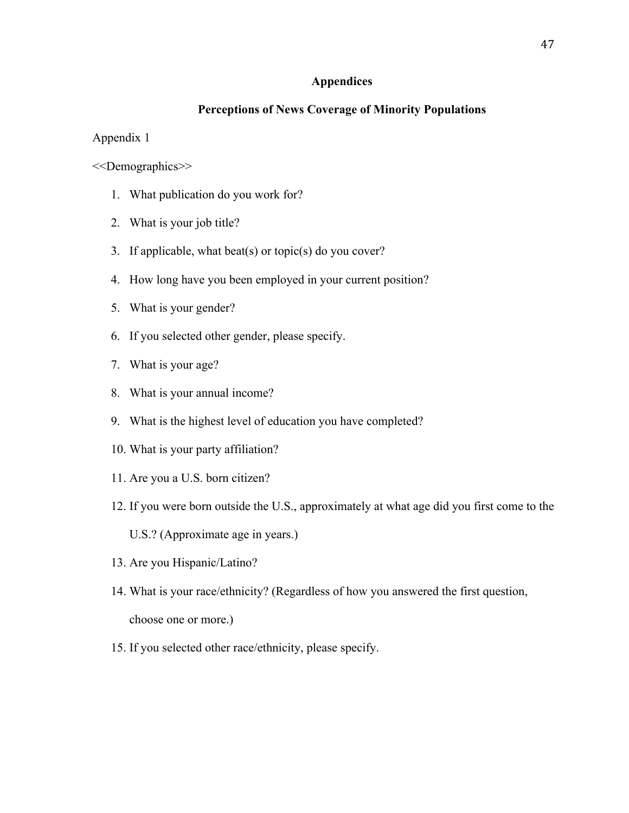#### **Appendices**

#### **Perceptions of News Coverage of Minority Populations**

Appendix 1

<<Demographics>>

- 1. What publication do you work for?
- 2. What is your job title?
- 3. If applicable, what beat(s) or topic(s) do you cover?
- 4. How long have you been employed in your current position?
- 5. What is your gender?
- 6. If you selected other gender, please specify.
- 7. What is your age?
- 8. What is your annual income?
- 9. What is the highest level of education you have completed?
- 10. What is your party affiliation?
- 11. Are you a U.S. born citizen?
- 12. If you were born outside the U.S., approximately at what age did you first come to the
	- U.S.? (Approximate age in years.)
- 13. Are you Hispanic/Latino?
- 14. What is your race/ethnicity? (Regardless of how you answered the first question, choose one or more.)
- 15. If you selected other race/ethnicity, please specify.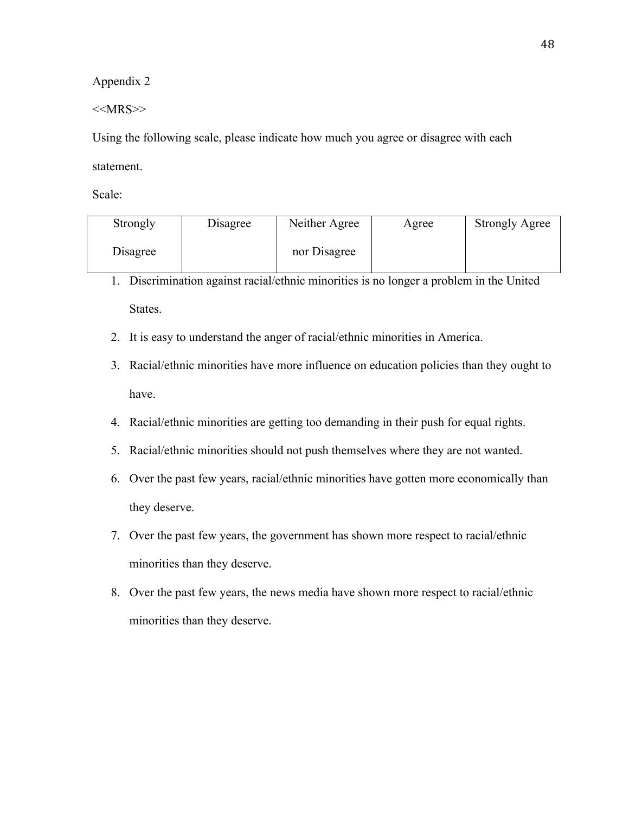$<<$ MRS $>>$ 

Using the following scale, please indicate how much you agree or disagree with each statement.

| Strongly | Disagree | Neither Agree | Agree | <b>Strongly Agree</b> |
|----------|----------|---------------|-------|-----------------------|
| Disagree |          | nor Disagree  |       |                       |

- 1. Discrimination against racial/ethnic minorities is no longer a problem in the United States.
- 2. It is easy to understand the anger of racial/ethnic minorities in America.
- 3. Racial/ethnic minorities have more influence on education policies than they ought to have.
- 4. Racial/ethnic minorities are getting too demanding in their push for equal rights.
- 5. Racial/ethnic minorities should not push themselves where they are not wanted.
- 6. Over the past few years, racial/ethnic minorities have gotten more economically than they deserve.
- 7. Over the past few years, the government has shown more respect to racial/ethnic minorities than they deserve.
- 8. Over the past few years, the news media have shown more respect to racial/ethnic minorities than they deserve.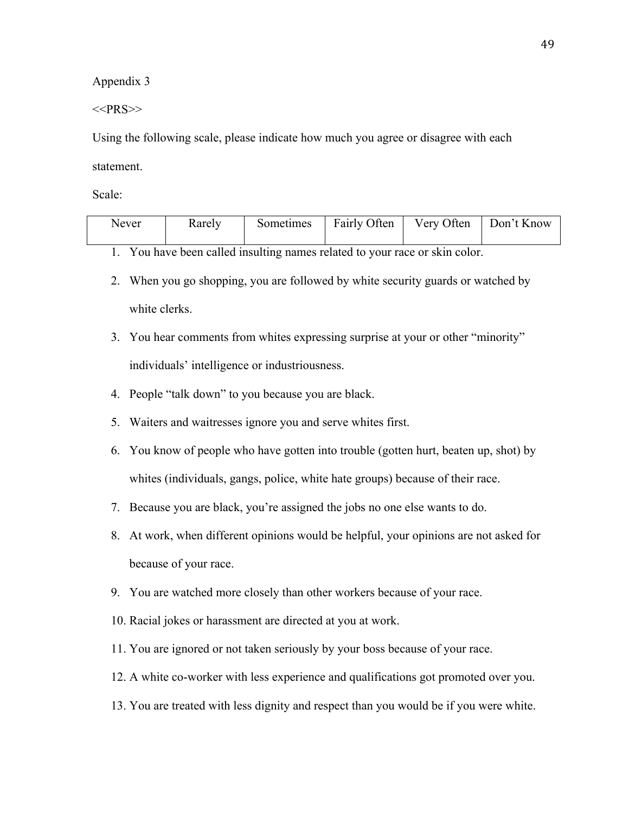$<<$ PRS>>

Using the following scale, please indicate how much you agree or disagree with each statement.

Scale:

| Never | Rarely | Sometimes | Fairly Often | Very Often | Don't Know |
|-------|--------|-----------|--------------|------------|------------|
|       |        |           |              |            |            |

1. You have been called insulting names related to your race or skin color.

- 2. When you go shopping, you are followed by white security guards or watched by white clerks.
- 3. You hear comments from whites expressing surprise at your or other "minority" individuals' intelligence or industriousness.
- 4. People "talk down" to you because you are black.
- 5. Waiters and waitresses ignore you and serve whites first.
- 6. You know of people who have gotten into trouble (gotten hurt, beaten up, shot) by whites (individuals, gangs, police, white hate groups) because of their race.
- 7. Because you are black, you're assigned the jobs no one else wants to do.
- 8. At work, when different opinions would be helpful, your opinions are not asked for because of your race.
- 9. You are watched more closely than other workers because of your race.
- 10. Racial jokes or harassment are directed at you at work.
- 11. You are ignored or not taken seriously by your boss because of your race.
- 12. A white co-worker with less experience and qualifications got promoted over you.
- 13. You are treated with less dignity and respect than you would be if you were white.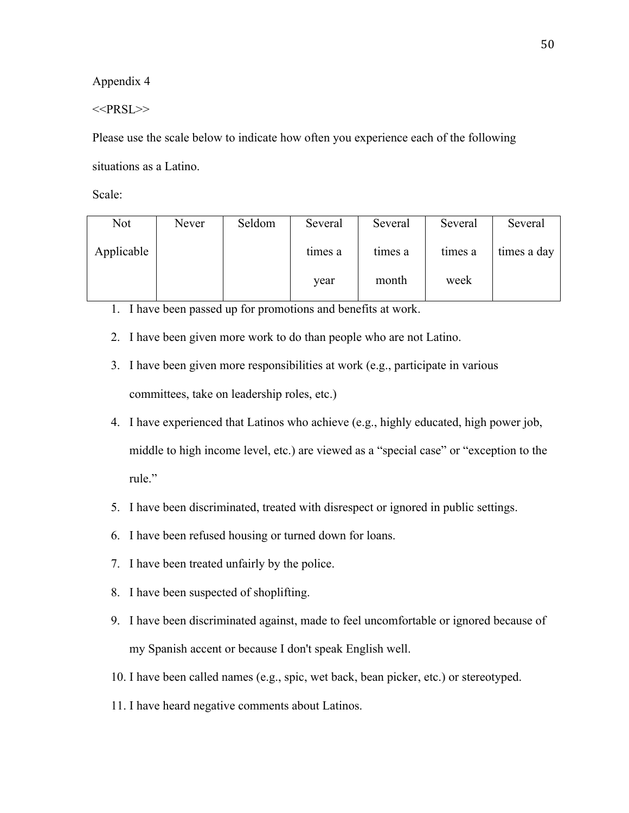$<<$ PRSL>>

Please use the scale below to indicate how often you experience each of the following situations as a Latino.

Scale:

| Not        | Never | Seldom | Several | Several | Several | Several     |
|------------|-------|--------|---------|---------|---------|-------------|
| Applicable |       |        | times a | times a | times a | times a day |
|            |       |        | year    | month   | week    |             |

1. I have been passed up for promotions and benefits at work.

- 2. I have been given more work to do than people who are not Latino.
- 3. I have been given more responsibilities at work (e.g., participate in various committees, take on leadership roles, etc.)
- 4. I have experienced that Latinos who achieve (e.g., highly educated, high power job, middle to high income level, etc.) are viewed as a "special case" or "exception to the rule."
- 5. I have been discriminated, treated with disrespect or ignored in public settings.
- 6. I have been refused housing or turned down for loans.
- 7. I have been treated unfairly by the police.
- 8. I have been suspected of shoplifting.
- 9. I have been discriminated against, made to feel uncomfortable or ignored because of my Spanish accent or because I don't speak English well.
- 10. I have been called names (e.g., spic, wet back, bean picker, etc.) or stereotyped.
- 11. I have heard negative comments about Latinos.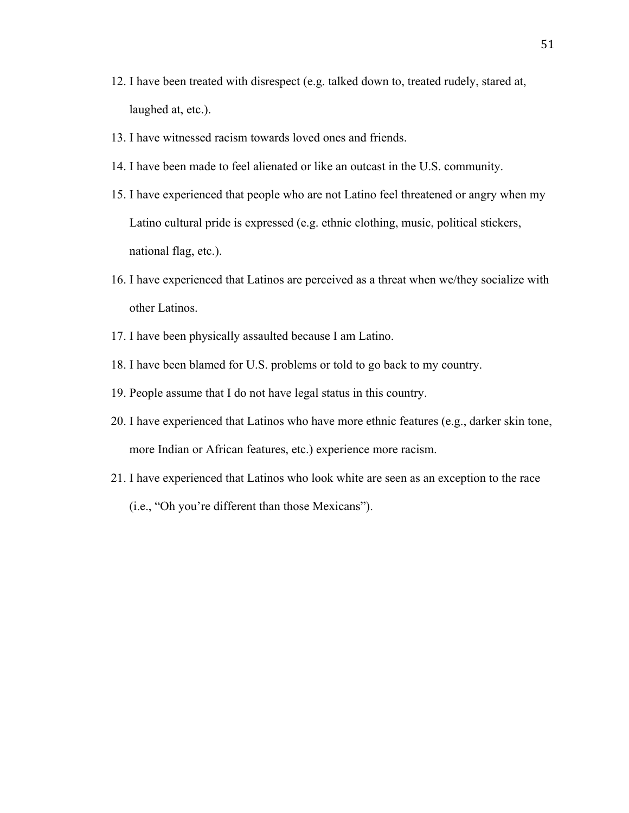- 12. I have been treated with disrespect (e.g. talked down to, treated rudely, stared at, laughed at, etc.).
- 13. I have witnessed racism towards loved ones and friends.
- 14. I have been made to feel alienated or like an outcast in the U.S. community.
- 15. I have experienced that people who are not Latino feel threatened or angry when my Latino cultural pride is expressed (e.g. ethnic clothing, music, political stickers, national flag, etc.).
- 16. I have experienced that Latinos are perceived as a threat when we/they socialize with other Latinos.
- 17. I have been physically assaulted because I am Latino.
- 18. I have been blamed for U.S. problems or told to go back to my country.
- 19. People assume that I do not have legal status in this country.
- 20. I have experienced that Latinos who have more ethnic features (e.g., darker skin tone, more Indian or African features, etc.) experience more racism.
- 21. I have experienced that Latinos who look white are seen as an exception to the race (i.e., "Oh you're different than those Mexicans").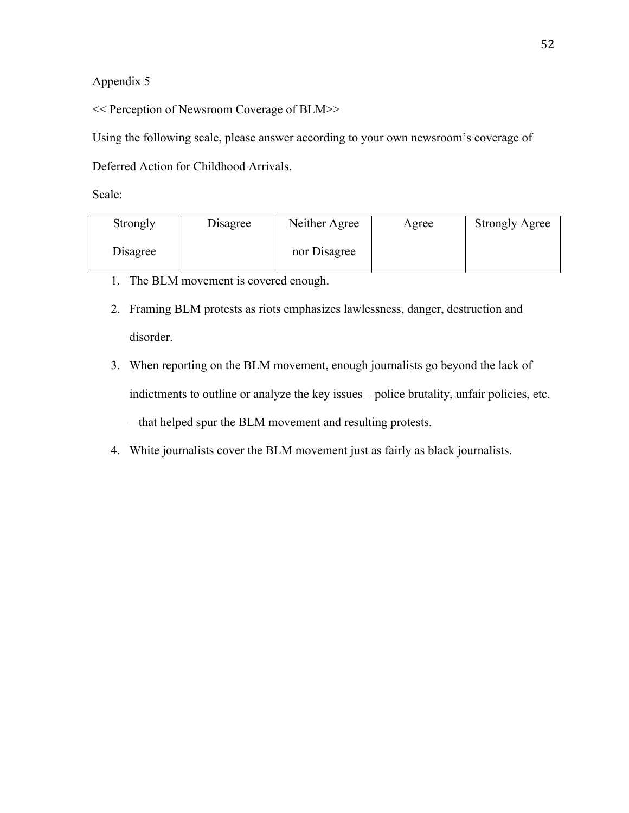<< Perception of Newsroom Coverage of BLM>>

Using the following scale, please answer according to your own newsroom's coverage of

Deferred Action for Childhood Arrivals.

| Strongly | Disagree | Neither Agree | Agree | <b>Strongly Agree</b> |
|----------|----------|---------------|-------|-----------------------|
| Disagree |          | nor Disagree  |       |                       |

- 1. The BLM movement is covered enough.
- 2. Framing BLM protests as riots emphasizes lawlessness, danger, destruction and disorder.
- 3. When reporting on the BLM movement, enough journalists go beyond the lack of indictments to outline or analyze the key issues – police brutality, unfair policies, etc. – that helped spur the BLM movement and resulting protests.
- 4. White journalists cover the BLM movement just as fairly as black journalists.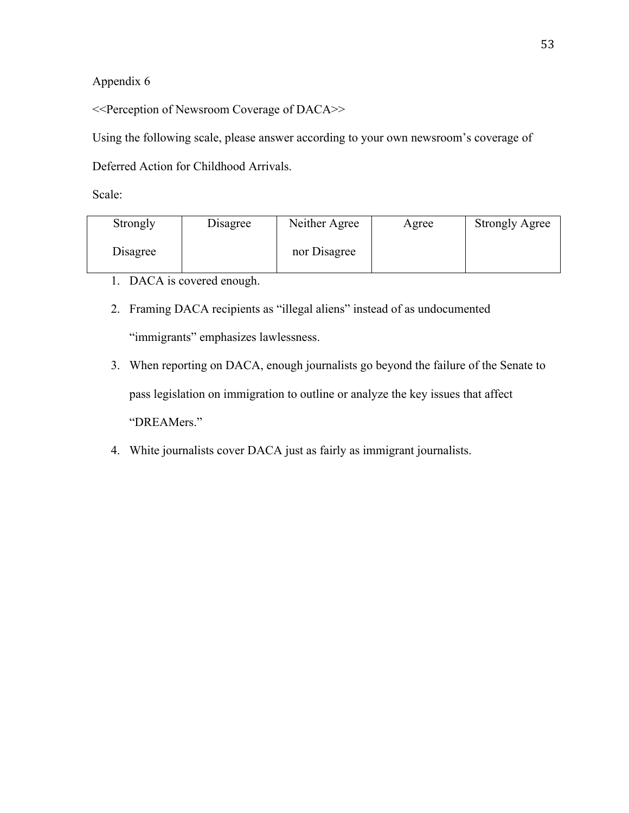<<Perception of Newsroom Coverage of DACA>>

Using the following scale, please answer according to your own newsroom's coverage of

Deferred Action for Childhood Arrivals.

| Strongly | Disagree | Neither Agree | Agree | <b>Strongly Agree</b> |
|----------|----------|---------------|-------|-----------------------|
| Disagree |          | nor Disagree  |       |                       |

- 1. DACA is covered enough.
- 2. Framing DACA recipients as "illegal aliens" instead of as undocumented "immigrants" emphasizes lawlessness.
- 3. When reporting on DACA, enough journalists go beyond the failure of the Senate to pass legislation on immigration to outline or analyze the key issues that affect "DREAMers."
- 4. White journalists cover DACA just as fairly as immigrant journalists.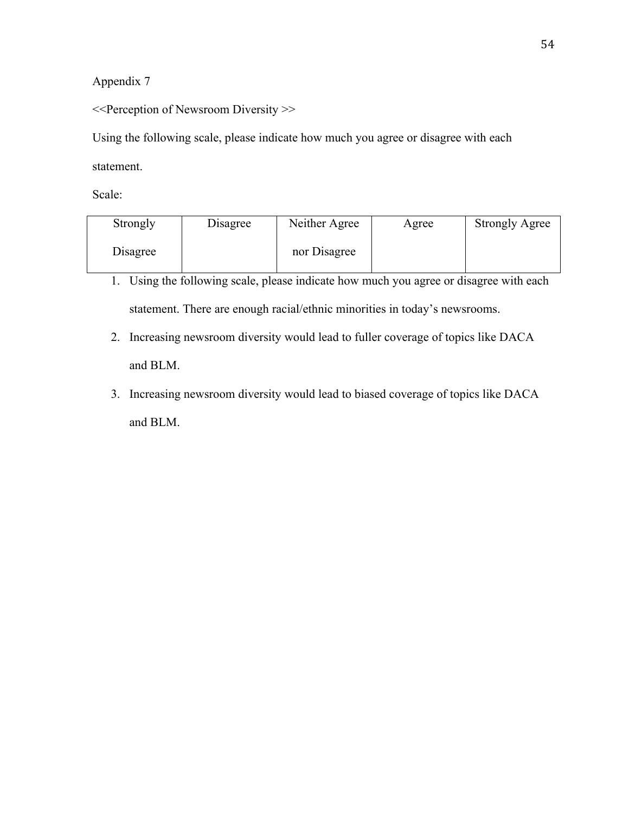<<Perception of Newsroom Diversity >>

Using the following scale, please indicate how much you agree or disagree with each

statement.

| Strongly | Disagree | Neither Agree | Agree | <b>Strongly Agree</b> |
|----------|----------|---------------|-------|-----------------------|
| Disagree |          | nor Disagree  |       |                       |

- 1. Using the following scale, please indicate how much you agree or disagree with each statement. There are enough racial/ethnic minorities in today's newsrooms.
- 2. Increasing newsroom diversity would lead to fuller coverage of topics like DACA and BLM.
- 3. Increasing newsroom diversity would lead to biased coverage of topics like DACA and BLM.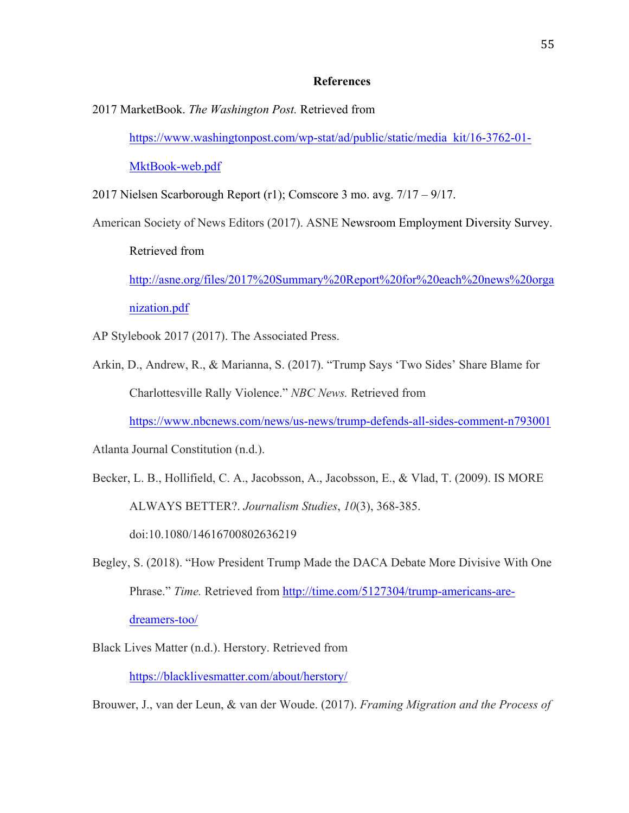#### **References**

2017 MarketBook. *The Washington Post.* Retrieved from

https://www.washingtonpost.com/wp-stat/ad/public/static/media\_kit/16-3762-01-

MktBook-web.pdf

2017 Nielsen Scarborough Report (r1); Comscore 3 mo. avg. 7/17 – 9/17.

American Society of News Editors (2017). ASNE Newsroom Employment Diversity Survey.

Retrieved from

http://asne.org/files/2017%20Summary%20Report%20for%20each%20news%20orga nization.pdf

AP Stylebook 2017 (2017). The Associated Press.

Arkin, D., Andrew, R., & Marianna, S. (2017). "Trump Says 'Two Sides' Share Blame for Charlottesville Rally Violence." *NBC News.* Retrieved from

https://www.nbcnews.com/news/us-news/trump-defends-all-sides-comment-n793001

Atlanta Journal Constitution (n.d.).

Becker, L. B., Hollifield, C. A., Jacobsson, A., Jacobsson, E., & Vlad, T. (2009). IS MORE ALWAYS BETTER?. *Journalism Studies*, *10*(3), 368-385. doi:10.1080/14616700802636219

- Begley, S. (2018). "How President Trump Made the DACA Debate More Divisive With One Phrase." *Time.* Retrieved from http://time.com/5127304/trump-americans-aredreamers-too/
- Black Lives Matter (n.d.). Herstory. Retrieved from

https://blacklivesmatter.com/about/herstory/

Brouwer, J., van der Leun, & van der Woude. (2017). *Framing Migration and the Process of*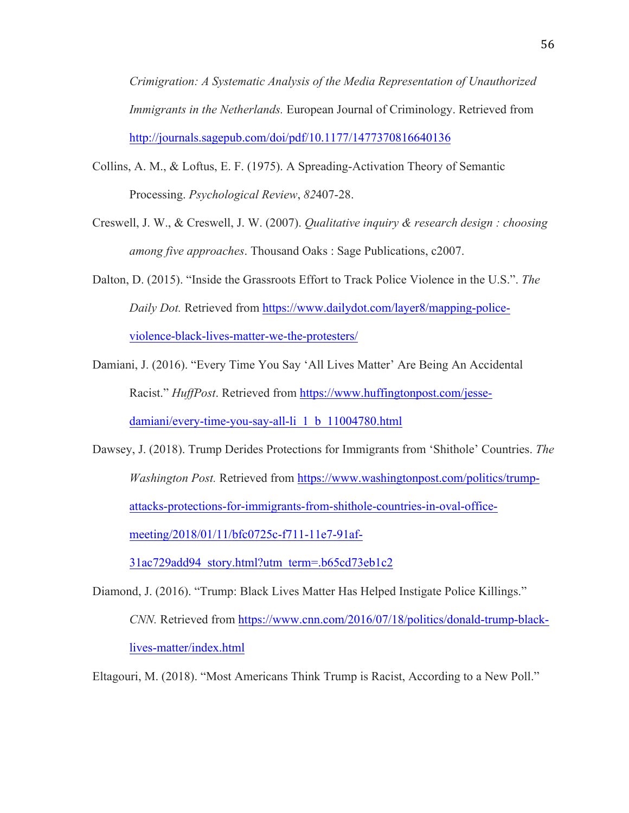*Crimigration: A Systematic Analysis of the Media Representation of Unauthorized Immigrants in the Netherlands.* European Journal of Criminology. Retrieved from http://journals.sagepub.com/doi/pdf/10.1177/1477370816640136

- Collins, A. M., & Loftus, E. F. (1975). A Spreading-Activation Theory of Semantic Processing. *Psychological Review*, *82*407-28.
- Creswell, J. W., & Creswell, J. W. (2007). *Qualitative inquiry & research design : choosing among five approaches*. Thousand Oaks : Sage Publications, c2007.
- Dalton, D. (2015). "Inside the Grassroots Effort to Track Police Violence in the U.S.". *The Daily Dot.* Retrieved from https://www.dailydot.com/layer8/mapping-policeviolence-black-lives-matter-we-the-protesters/
- Damiani, J. (2016). "Every Time You Say 'All Lives Matter' Are Being An Accidental Racist." *HuffPost*. Retrieved from https://www.huffingtonpost.com/jessedamiani/every-time-you-say-all-li\_1\_b\_11004780.html
- Dawsey, J. (2018). Trump Derides Protections for Immigrants from 'Shithole' Countries. *The Washington Post.* Retrieved from https://www.washingtonpost.com/politics/trumpattacks-protections-for-immigrants-from-shithole-countries-in-oval-officemeeting/2018/01/11/bfc0725c-f711-11e7-91af-

31ac729add94\_story.html?utm\_term=.b65cd73eb1c2

Diamond, J. (2016). "Trump: Black Lives Matter Has Helped Instigate Police Killings." *CNN.* Retrieved from https://www.cnn.com/2016/07/18/politics/donald-trump-blacklives-matter/index.html

Eltagouri, M. (2018). "Most Americans Think Trump is Racist, According to a New Poll."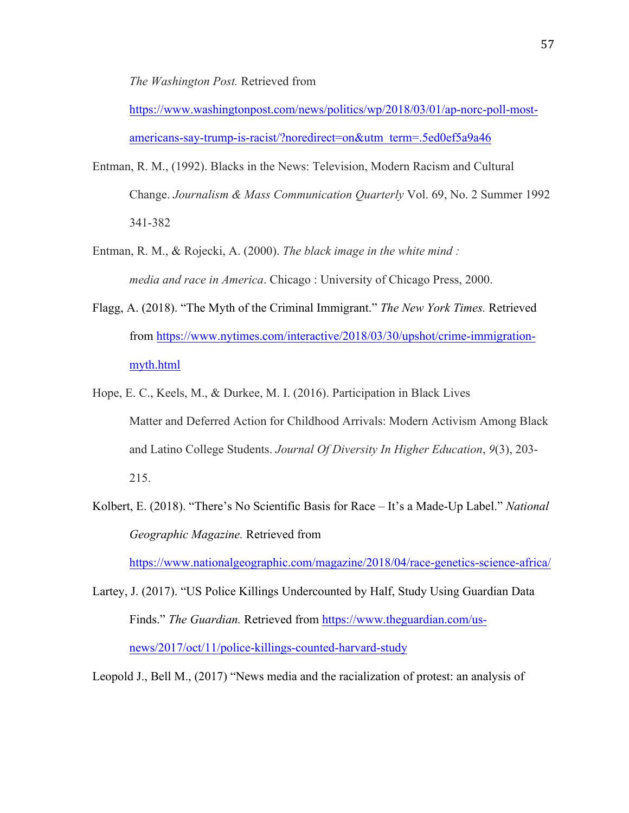*The Washington Post.* Retrieved from

https://www.washingtonpost.com/news/politics/wp/2018/03/01/ap-norc-poll-mostamericans-say-trump-is-racist/?noredirect=on&utm\_term=.5ed0ef5a9a46

- Entman, R. M., (1992). Blacks in the News: Television, Modern Racism and Cultural Change. *Journalism & Mass Communication Quarterly* Vol. 69, No. 2 Summer 1992 341-382
- Entman, R. M., & Rojecki, A. (2000). *The black image in the white mind : media and race in America*. Chicago : University of Chicago Press, 2000.
- Flagg, A. (2018). "The Myth of the Criminal Immigrant." *The New York Times.* Retrieved from https://www.nytimes.com/interactive/2018/03/30/upshot/crime-immigrationmyth.html
- Hope, E. C., Keels, M., & Durkee, M. I. (2016). Participation in Black Lives Matter and Deferred Action for Childhood Arrivals: Modern Activism Among Black and Latino College Students. *Journal Of Diversity In Higher Education*, *9*(3), 203- 215.
- Kolbert, E. (2018). "There's No Scientific Basis for Race It's a Made-Up Label." *National Geographic Magazine.* Retrieved from

https://www.nationalgeographic.com/magazine/2018/04/race-genetics-science-africa/

Lartey, J. (2017). "US Police Killings Undercounted by Half, Study Using Guardian Data Finds." *The Guardian.* Retrieved from https://www.theguardian.com/usnews/2017/oct/11/police-killings-counted-harvard-study

Leopold J., Bell M., (2017) "News media and the racialization of protest: an analysis of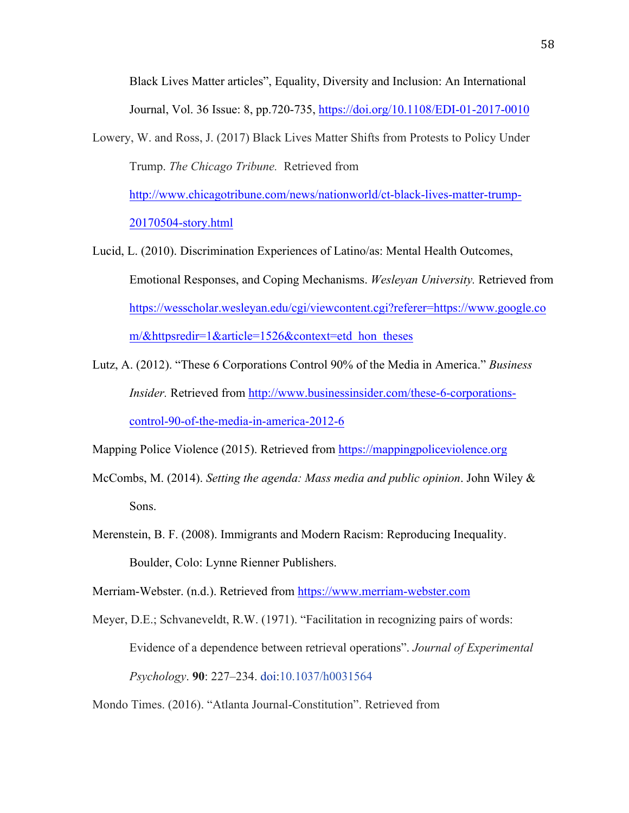Black Lives Matter articles", Equality, Diversity and Inclusion: An International Journal, Vol. 36 Issue: 8, pp.720-735, https://doi.org/10.1108/EDI-01-2017-0010

Lowery, W. and Ross, J. (2017) Black Lives Matter Shifts from Protests to Policy Under Trump. *The Chicago Tribune.* Retrieved from

http://www.chicagotribune.com/news/nationworld/ct-black-lives-matter-trump-20170504-story.html

- Lucid, L. (2010). Discrimination Experiences of Latino/as: Mental Health Outcomes, Emotional Responses, and Coping Mechanisms. *Wesleyan University.* Retrieved from https://wesscholar.wesleyan.edu/cgi/viewcontent.cgi?referer=https://www.google.co m/&httpsredir=1&article=1526&context=etd\_hon\_theses
- Lutz, A. (2012). "These 6 Corporations Control 90% of the Media in America." *Business Insider.* Retrieved from http://www.businessinsider.com/these-6-corporationscontrol-90-of-the-media-in-america-2012-6

Mapping Police Violence (2015). Retrieved from https://mappingpoliceviolence.org

- McCombs, M. (2014). *Setting the agenda: Mass media and public opinion*. John Wiley & Sons.
- Merenstein, B. F. (2008). Immigrants and Modern Racism: Reproducing Inequality. Boulder, Colo: Lynne Rienner Publishers.

Merriam-Webster. (n.d.). Retrieved from https://www.merriam-webster.com

Meyer, D.E.; Schvaneveldt, R.W. (1971). "Facilitation in recognizing pairs of words: Evidence of a dependence between retrieval operations". *Journal of Experimental Psychology*. **90**: 227–234. doi:10.1037/h0031564

Mondo Times. (2016). "Atlanta Journal-Constitution". Retrieved from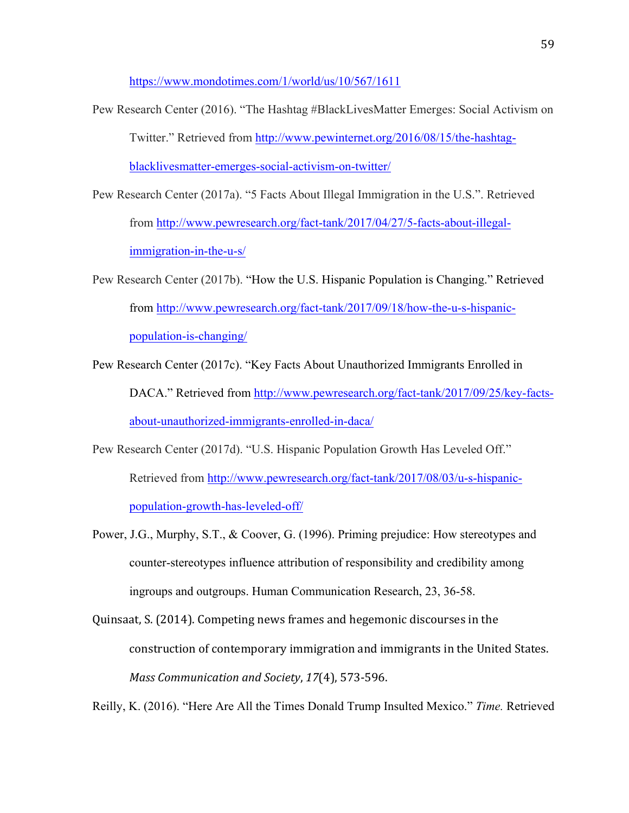https://www.mondotimes.com/1/world/us/10/567/1611

- Pew Research Center (2016). "The Hashtag #BlackLivesMatter Emerges: Social Activism on Twitter." Retrieved from http://www.pewinternet.org/2016/08/15/the-hashtagblacklivesmatter-emerges-social-activism-on-twitter/
- Pew Research Center (2017a). "5 Facts About Illegal Immigration in the U.S.". Retrieved from http://www.pewresearch.org/fact-tank/2017/04/27/5-facts-about-illegalimmigration-in-the-u-s/
- Pew Research Center (2017b). "How the U.S. Hispanic Population is Changing." Retrieved from http://www.pewresearch.org/fact-tank/2017/09/18/how-the-u-s-hispanicpopulation-is-changing/
- Pew Research Center (2017c). "Key Facts About Unauthorized Immigrants Enrolled in DACA." Retrieved from http://www.pewresearch.org/fact-tank/2017/09/25/key-factsabout-unauthorized-immigrants-enrolled-in-daca/
- Pew Research Center (2017d). "U.S. Hispanic Population Growth Has Leveled Off." Retrieved from http://www.pewresearch.org/fact-tank/2017/08/03/u-s-hispanicpopulation-growth-has-leveled-off/
- Power, J.G., Murphy, S.T., & Coover, G. (1996). Priming prejudice: How stereotypes and counter-stereotypes influence attribution of responsibility and credibility among ingroups and outgroups. Human Communication Research, 23, 36-58.
- Quinsaat, S. (2014). Competing news frames and hegemonic discourses in the construction of contemporary immigration and immigrants in the United States. *Mass Communication and Society*, *17*(4), 573-596.

Reilly, K. (2016). "Here Are All the Times Donald Trump Insulted Mexico." *Time.* Retrieved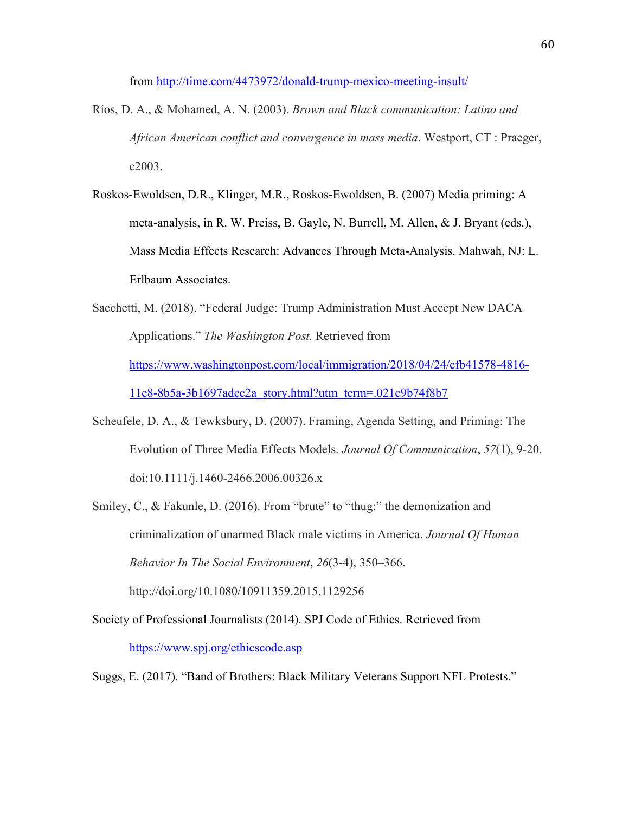from http://time.com/4473972/donald-trump-mexico-meeting-insult/

- Ríos, D. A., & Mohamed, A. N. (2003). *Brown and Black communication: Latino and African American conflict and convergence in mass media*. Westport, CT : Praeger, c2003.
- Roskos-Ewoldsen, D.R., Klinger, M.R., Roskos-Ewoldsen, B. (2007) Media priming: A meta-analysis, in R. W. Preiss, B. Gayle, N. Burrell, M. Allen, & J. Bryant (eds.), Mass Media Effects Research: Advances Through Meta-Analysis. Mahwah, NJ: L. Erlbaum Associates.
- Sacchetti, M. (2018). "Federal Judge: Trump Administration Must Accept New DACA Applications." *The Washington Post.* Retrieved from https://www.washingtonpost.com/local/immigration/2018/04/24/cfb41578-4816- 11e8-8b5a-3b1697adcc2a\_story.html?utm\_term=.021c9b74f8b7
- Scheufele, D. A., & Tewksbury, D. (2007). Framing, Agenda Setting, and Priming: The Evolution of Three Media Effects Models. *Journal Of Communication*, *57*(1), 9-20. doi:10.1111/j.1460-2466.2006.00326.x
- Smiley, C., & Fakunle, D. (2016). From "brute" to "thug:" the demonization and criminalization of unarmed Black male victims in America. *Journal Of Human Behavior In The Social Environment*, *26*(3-4), 350–366.

http://doi.org/10.1080/10911359.2015.1129256

Society of Professional Journalists (2014). SPJ Code of Ethics. Retrieved from https://www.spj.org/ethicscode.asp

Suggs, E. (2017). "Band of Brothers: Black Military Veterans Support NFL Protests."